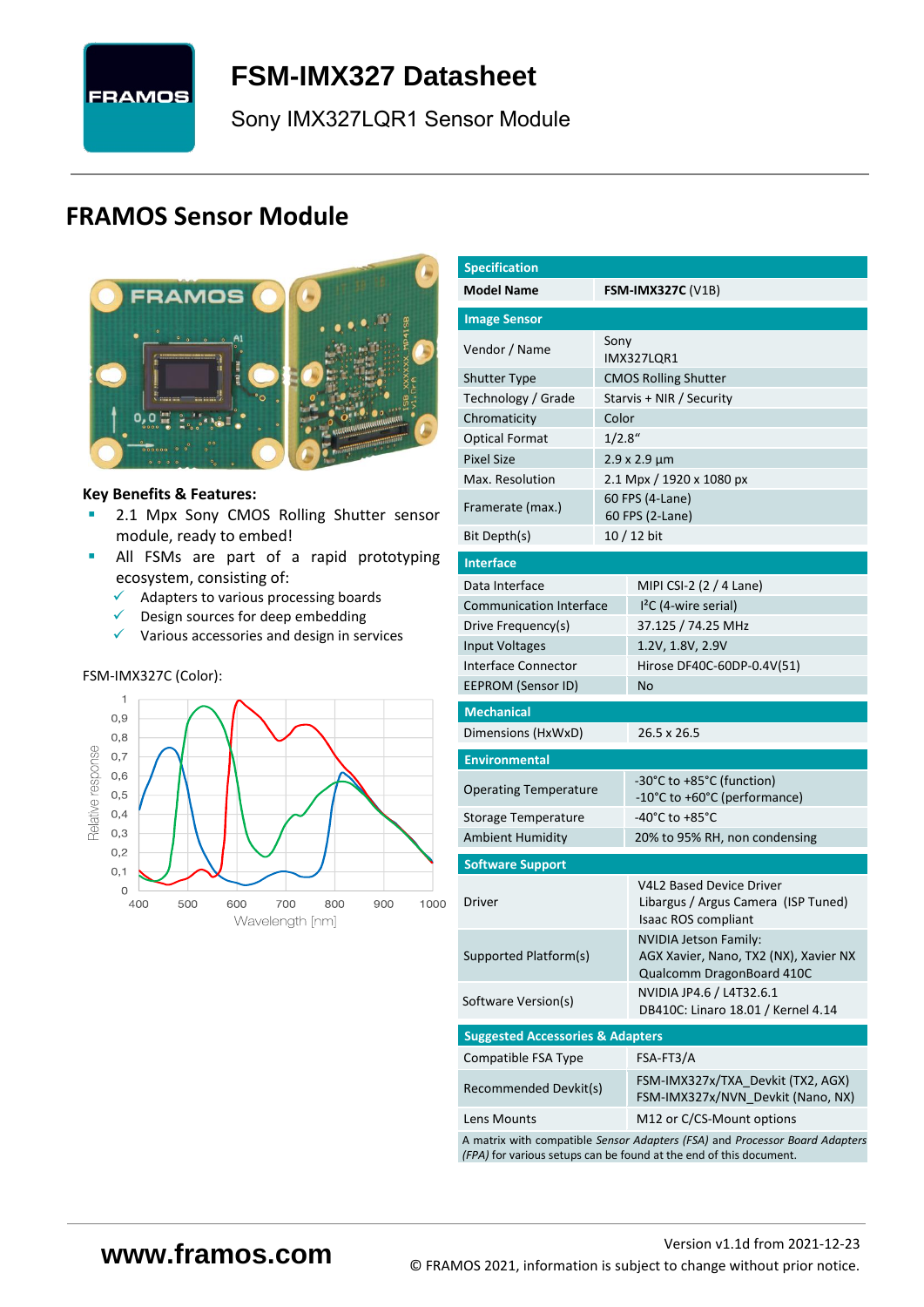

<span id="page-0-7"></span>**FSM-IMX327 [Datasheet](#page-0-0)**

<span id="page-0-3"></span><span id="page-0-0"></span>[Sony](#page-0-1) [IMX327LQR1](#page-0-2) Sensor Module

# **FRAMOS Sensor Module**



#### **Key Benefits & Features:**

- **■** [2.1](#page-0-4) Mpx [Sony](#page-0-1) [CMOS Rolling Shutter](#page-0-5) sensor module, ready to embed!
- **E** All FSMs are part of a rapid prototyping ecosystem, consisting of:
	- $\checkmark$  Adapters to various processing boards<br> $\checkmark$  Design sources for deen embedding
	- Design sources for deep embedding
	- ✓ Various accessories and design in services

#### FSM-IMX327C (Color):



<span id="page-0-6"></span><span id="page-0-5"></span><span id="page-0-4"></span><span id="page-0-2"></span><span id="page-0-1"></span>

| <b>Specification</b>                        |         |                                                                                                                                                   |  |  |  |  |
|---------------------------------------------|---------|---------------------------------------------------------------------------------------------------------------------------------------------------|--|--|--|--|
| <b>Model Name</b>                           |         | <b>FSM-IMX327C (V1B)</b>                                                                                                                          |  |  |  |  |
| <b>Image Sensor</b>                         |         |                                                                                                                                                   |  |  |  |  |
| Vendor / Name                               | Sony    |                                                                                                                                                   |  |  |  |  |
|                                             |         | IMX327LQR1                                                                                                                                        |  |  |  |  |
| <b>Shutter Type</b>                         |         | <b>CMOS Rolling Shutter</b>                                                                                                                       |  |  |  |  |
| Technology / Grade                          |         | Starvis + NIR / Security                                                                                                                          |  |  |  |  |
| Chromaticity                                | Color   |                                                                                                                                                   |  |  |  |  |
| <b>Optical Format</b>                       | 1/2.8'' |                                                                                                                                                   |  |  |  |  |
| <b>Pixel Size</b>                           |         | $2.9 \times 2.9 \mu m$                                                                                                                            |  |  |  |  |
| Max. Resolution                             |         | 2.1 Mpx / 1920 x 1080 px                                                                                                                          |  |  |  |  |
| Framerate (max.)                            |         | 60 FPS (4-Lane)<br>60 FPS (2-Lane)                                                                                                                |  |  |  |  |
| Bit Depth(s)                                |         | 10 / 12 bit                                                                                                                                       |  |  |  |  |
| <b>Interface</b>                            |         |                                                                                                                                                   |  |  |  |  |
| Data Interface                              |         | MIPI CSI-2 (2 / 4 Lane)                                                                                                                           |  |  |  |  |
| <b>Communication Interface</b>              |         | $I2C$ (4-wire serial)                                                                                                                             |  |  |  |  |
| Drive Frequency(s)                          |         | 37.125 / 74.25 MHz                                                                                                                                |  |  |  |  |
| <b>Input Voltages</b>                       |         | 1.2V, 1.8V, 2.9V                                                                                                                                  |  |  |  |  |
| <b>Interface Connector</b>                  |         | Hirose DF40C-60DP-0.4V(51)                                                                                                                        |  |  |  |  |
| EEPROM (Sensor ID)                          |         | No                                                                                                                                                |  |  |  |  |
| <b>Mechanical</b>                           |         |                                                                                                                                                   |  |  |  |  |
| Dimensions (HxWxD)                          |         | 26.5 x 26.5                                                                                                                                       |  |  |  |  |
| <b>Environmental</b>                        |         |                                                                                                                                                   |  |  |  |  |
| <b>Operating Temperature</b>                |         | -30°C to +85°C (function)                                                                                                                         |  |  |  |  |
|                                             |         | -10°C to +60°C (performance)                                                                                                                      |  |  |  |  |
| Storage Temperature                         |         | -40°C to +85°C                                                                                                                                    |  |  |  |  |
| <b>Ambient Humidity</b>                     |         | 20% to 95% RH, non condensing                                                                                                                     |  |  |  |  |
| <b>Software Support</b>                     |         |                                                                                                                                                   |  |  |  |  |
| Driver                                      |         | <b>V4L2 Based Device Driver</b><br>Libargus / Argus Camera (ISP Tuned)                                                                            |  |  |  |  |
|                                             |         | Isaac ROS compliant                                                                                                                               |  |  |  |  |
|                                             |         | <b>NVIDIA Jetson Family:</b>                                                                                                                      |  |  |  |  |
| Supported Platform(s)                       |         | AGX Xavier, Nano, TX2 (NX), Xavier NX<br>Qualcomm DragonBoard 410C                                                                                |  |  |  |  |
| Software Version(s)                         |         | NVIDIA JP4.6 / L4T32.6.1<br>DB410C: Linaro 18.01 / Kernel 4.14                                                                                    |  |  |  |  |
| <b>Suggested Accessories &amp; Adapters</b> |         |                                                                                                                                                   |  |  |  |  |
| Compatible FSA Type                         |         | FSA-FT3/A                                                                                                                                         |  |  |  |  |
| Recommended Devkit(s)                       |         | FSM-IMX327x/TXA Devkit (TX2, AGX)<br>FSM-IMX327x/NVN_Devkit (Nano, NX)                                                                            |  |  |  |  |
| Lens Mounts                                 |         | M12 or C/CS-Mount options                                                                                                                         |  |  |  |  |
|                                             |         | A matrix with compatible Sensor Adapters (FSA) and Processor Board Adapters<br>(FPA) for various setups can be found at the end of this document. |  |  |  |  |
|                                             |         |                                                                                                                                                   |  |  |  |  |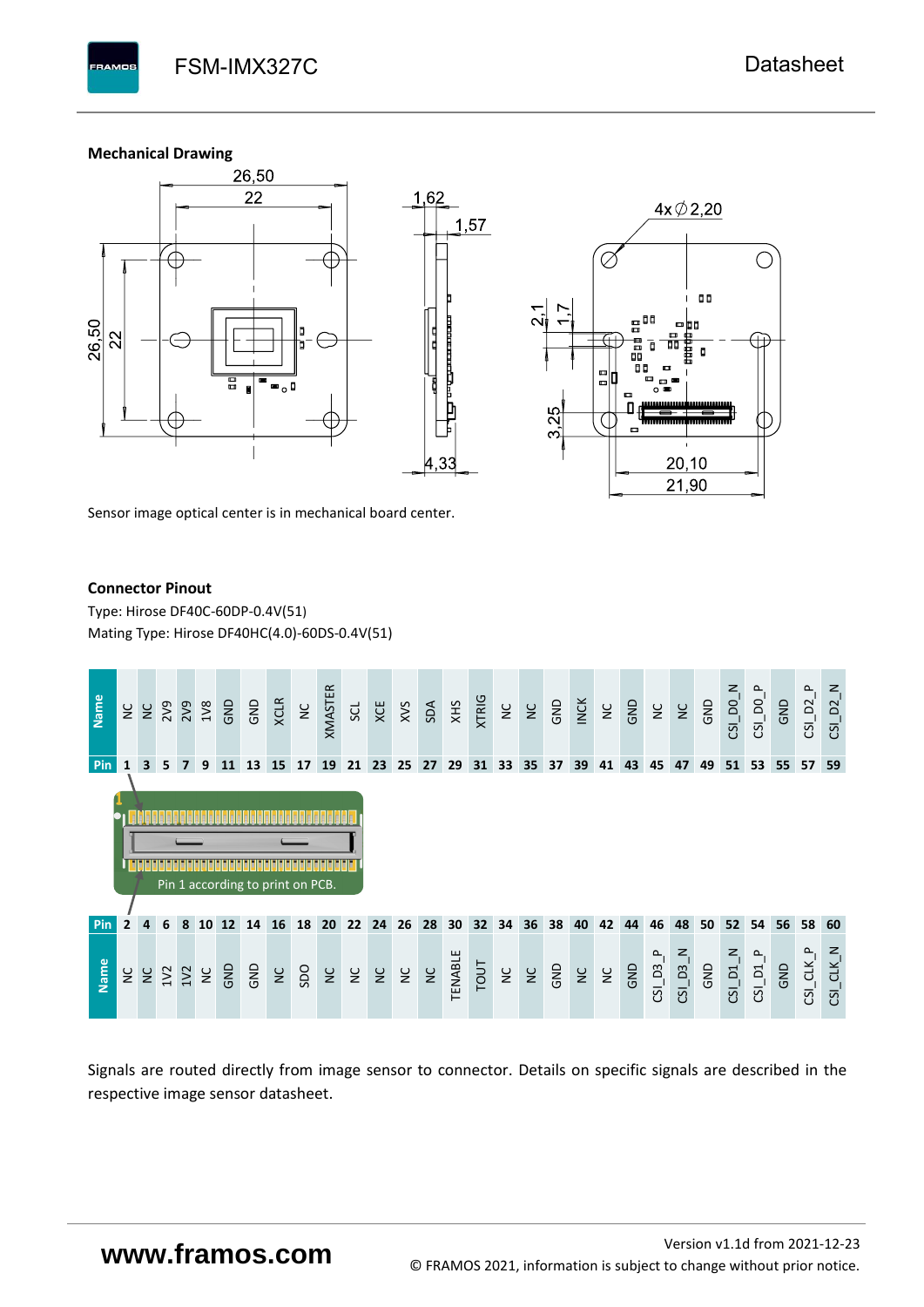#### **Mechanical Drawing**

**PAMOS** 



Sensor image optical center is in mechanical board center.

#### **Connector Pinout**

Type: [Hirose DF40C-60DP-0.4V\(51](#page-0-6)[\)](#page-0-6)  Mating Type: Hirose DF40HC(4.0)-60DS-0.4V(51)



Signals are routed directly from image sensor to connector. Details on specific signals are described in the respective image sensor datasheet.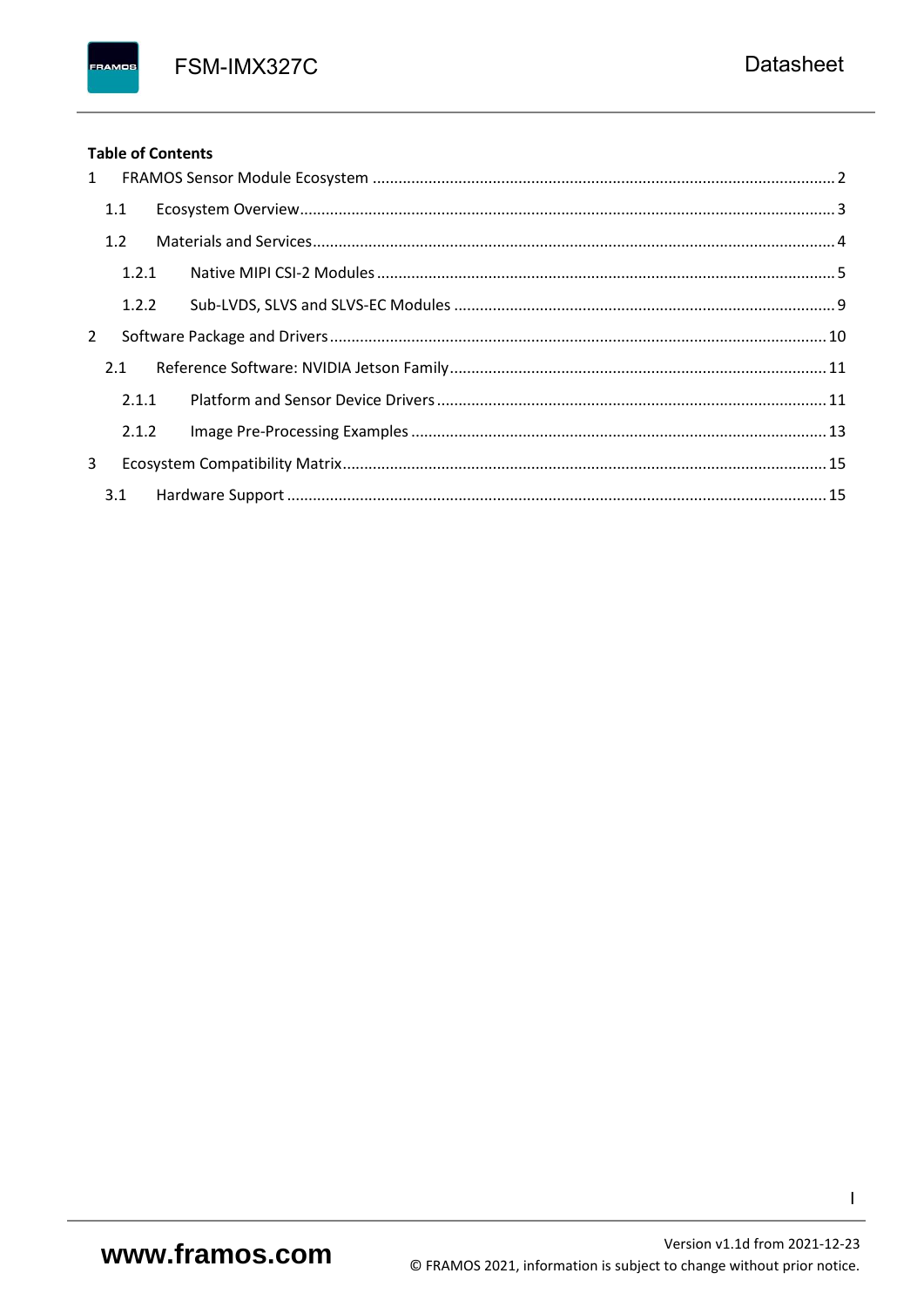FSM-IMX327C

### **Table of Contents**

FRAMOS

| $1 \quad$    |       |  |
|--------------|-------|--|
|              | 1.1   |  |
|              | 1.2   |  |
|              | 1.2.1 |  |
|              | 1.2.2 |  |
| $\mathbf{2}$ |       |  |
|              | 2.1   |  |
|              | 2.1.1 |  |
|              | 2.1.2 |  |
| 3            |       |  |
|              |       |  |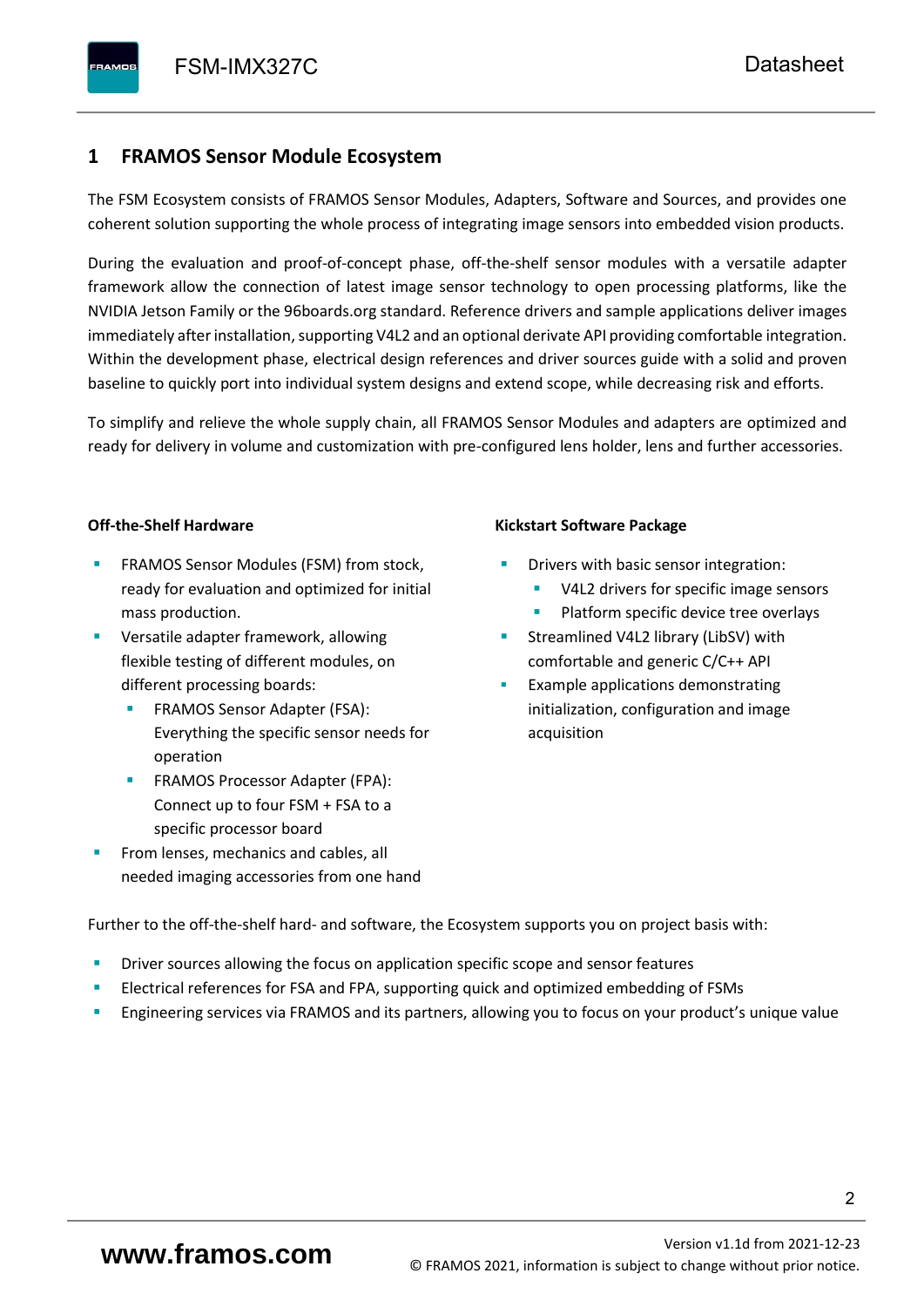## <span id="page-3-0"></span>**1 FRAMOS Sensor Module Ecosystem**

The FSM Ecosystem consists of FRAMOS Sensor Modules, Adapters, Software and Sources, and provides one coherent solution supporting the whole process of integrating image sensors into embedded vision products.

During the evaluation and proof-of-concept phase, off-the-shelf sensor modules with a versatile adapter framework allow the connection of latest image sensor technology to open processing platforms, like the NVIDIA Jetson Family or the 96boards.org standard. Reference drivers and sample applications deliver images immediately after installation, supporting V4L2 and an optional derivate API providing comfortable integration. Within the development phase, electrical design references and driver sources guide with a solid and proven baseline to quickly port into individual system designs and extend scope, while decreasing risk and efforts.

To simplify and relieve the whole supply chain, all FRAMOS Sensor Modules and adapters are optimized and ready for delivery in volume and customization with pre-configured lens holder, lens and further accessories.

#### **Off-the-Shelf Hardware**

- FRAMOS Sensor Modules (FSM) from stock, ready for evaluation and optimized for initial mass production.
- Versatile adapter framework, allowing flexible testing of different modules, on different processing boards:
	- FRAMOS Sensor Adapter (FSA): Everything the specific sensor needs for operation
	- FRAMOS Processor Adapter (FPA): Connect up to four FSM + FSA to a specific processor board
- From lenses, mechanics and cables, all needed imaging accessories from one hand

#### **Kickstart Software Package**

- Drivers with basic sensor integration:
	- V4L2 drivers for specific image sensors
	- Platform specific device tree overlays
- Streamlined V4L2 library (LibSV) with comfortable and generic C/C++ API
- Example applications demonstrating initialization, configuration and image acquisition

Further to the off-the-shelf hard- and software, the Ecosystem supports you on project basis with:

- Driver sources allowing the focus on application specific scope and sensor features
- Electrical references for FSA and FPA, supporting quick and optimized embedding of FSMs
- Engineering services via FRAMOS and its partners, allowing you to focus on your product's unique value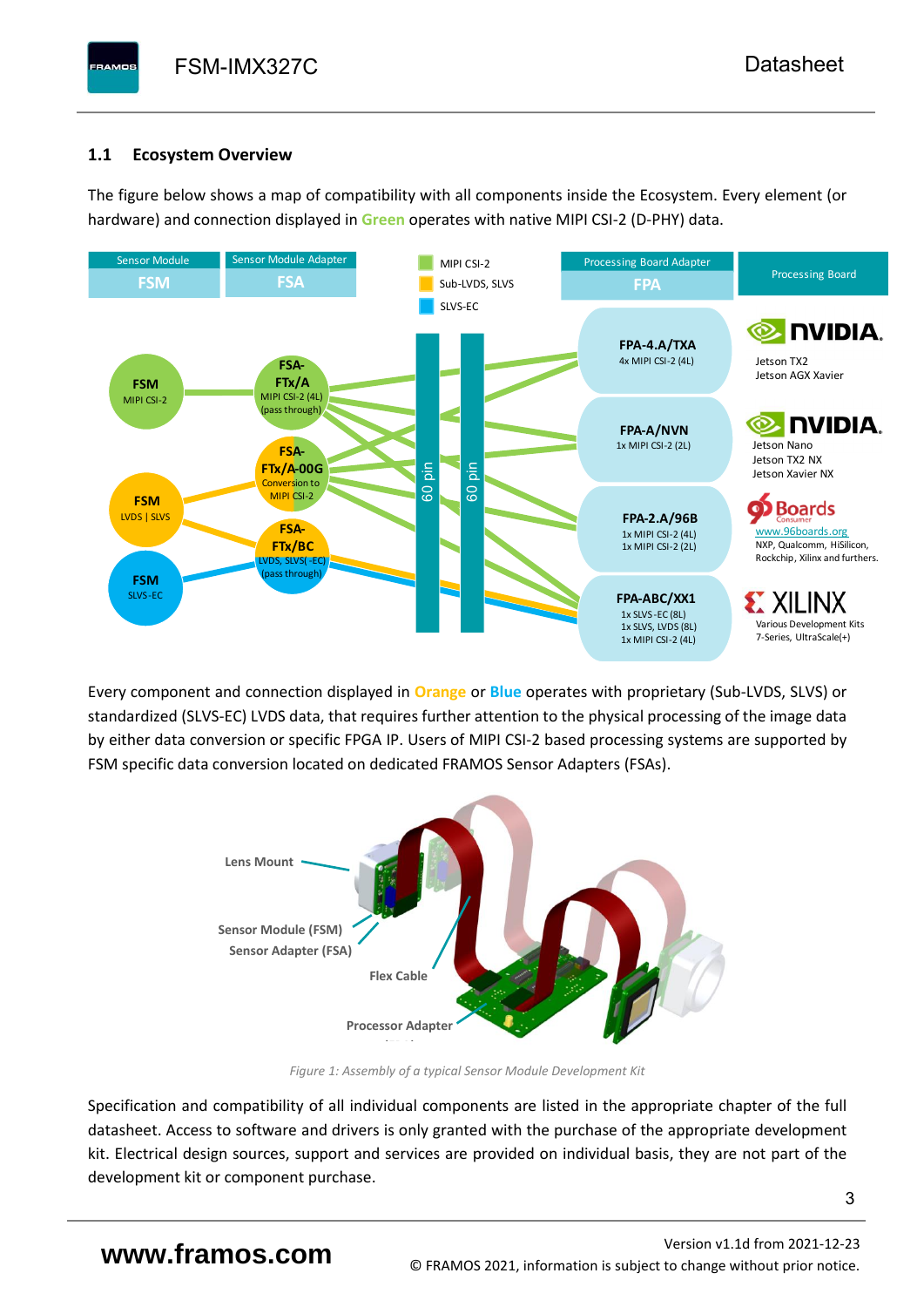## <span id="page-4-0"></span>**1.1 Ecosystem Overview**

**PAMOS** 

The figure below shows a map of compatibility with all components inside the Ecosystem. Every element (or hardware) and connection displayed in **Green** operates with native MIPI CSI-2 (D-PHY) data.



Every component and connection displayed in **Orange** or **Blue** operates with proprietary (Sub-LVDS, SLVS) or standardized (SLVS-EC) LVDS data, that requires further attention to the physical processing of the image data by either data conversion or specific FPGA IP. Users of MIPI CSI-2 based processing systems are supported by FSM specific data conversion located on dedicated FRAMOS Sensor Adapters (FSAs).



*Figure 1: Assembly of a typical Sensor Module Development Kit*

Specification and compatibility of all individual components are listed in the appropriate chapter of the full datasheet. Access to software and drivers is only granted with the purchase of the appropriate development kit. Electrical design sources, support and services are provided on individual basis, they are not part of the development kit or component purchase.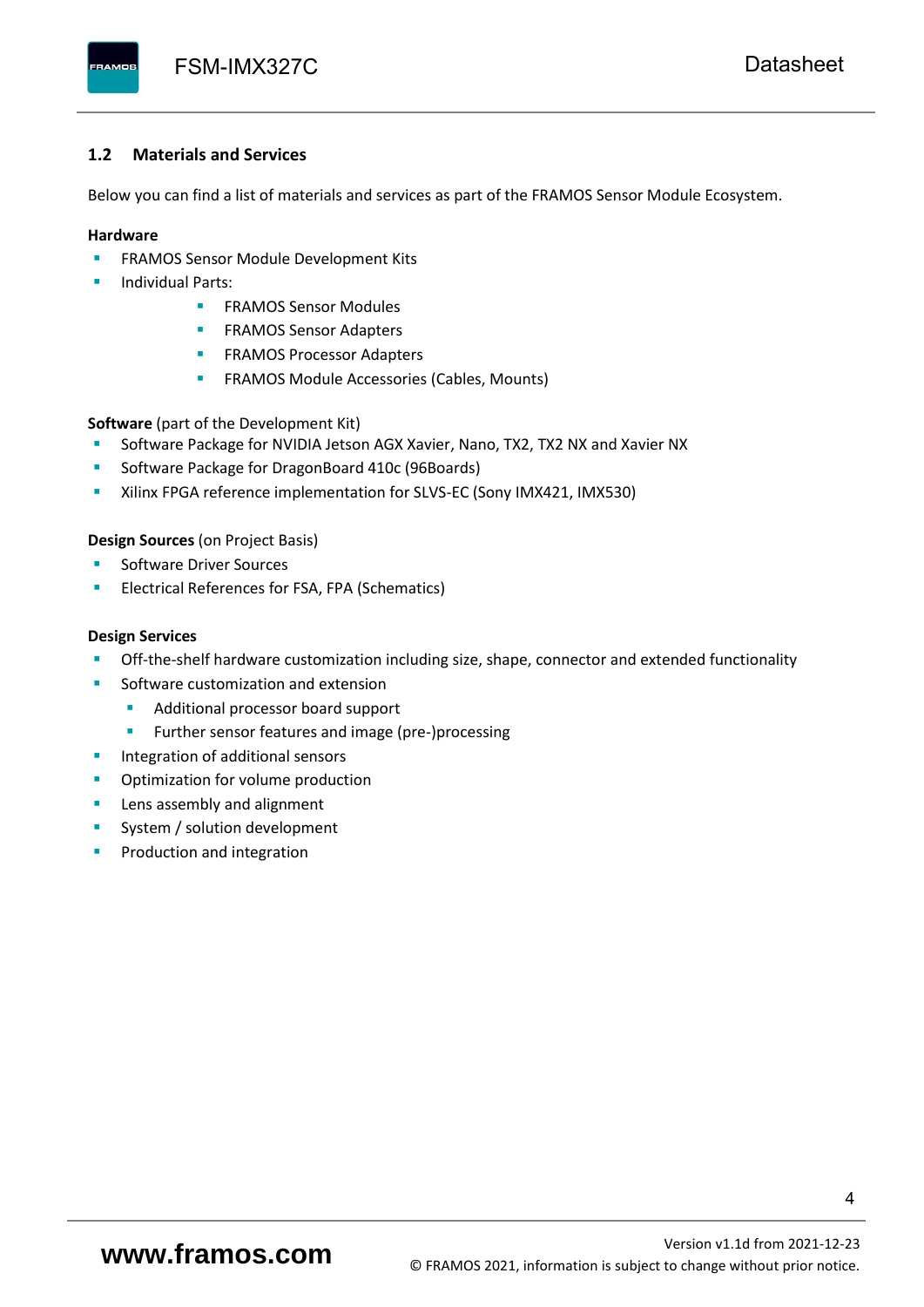#### <span id="page-5-0"></span>**1.2 Materials and Services**

Below you can find a list of materials and services as part of the FRAMOS Sensor Module Ecosystem.

#### **Hardware**

- **EXECTED FRAMOS Sensor Module Development Kits**
- **Individual Parts:** 
	- FRAMOS Sensor Modules
	- **FRAMOS Sensor Adapters**
	- **EXAMOS Processor Adapters**
	- **EXECTED** FRAMOS Module Accessories (Cables, Mounts)

**Software** (part of the Development Kit)

- Software Package for NVIDIA Jetson AGX Xavier, Nano, TX2, TX2 NX and Xavier NX
- Software Package for DragonBoard 410c (96Boards)
- **E** Xilinx FPGA reference implementation for SLVS-EC (Sony IMX421, IMX530)

#### **Design Sources** (on Project Basis)

- Software Driver Sources
- Electrical References for FSA, FPA (Schematics)

#### **Design Services**

- Off-the-shelf hardware customization including size, shape, connector and extended functionality
- Software customization and extension
	- Additional processor board support
	- Further sensor features and image (pre-)processing
- **■** Integration of additional sensors
- Optimization for volume production
- Lens assembly and alignment
- System / solution development
- Production and integration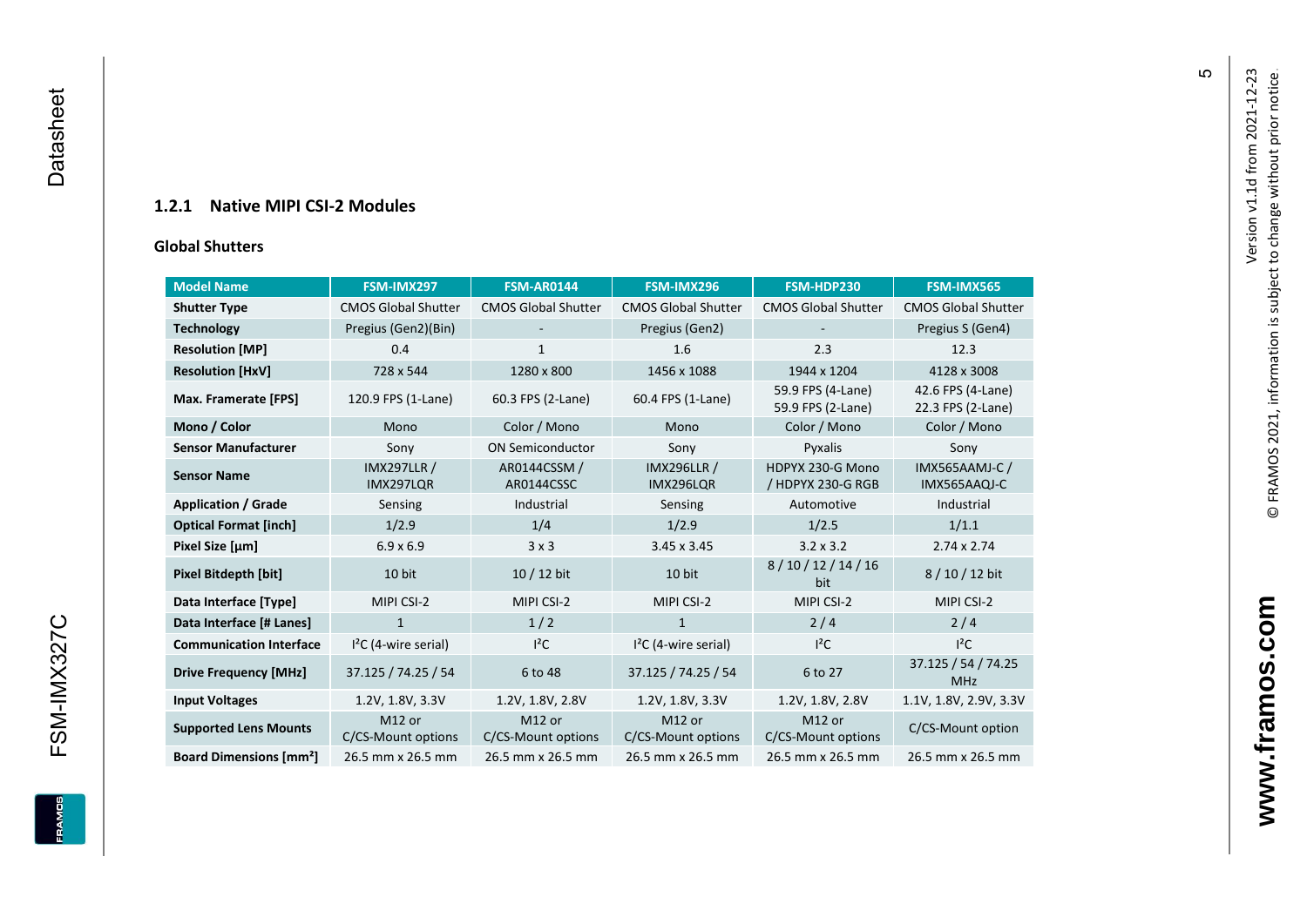### **1.2.1 Native MIPI CSI - 2 Modules**

#### **[Global Shu](#page-0-7)tters**

<span id="page-6-0"></span>

| <b>Model Name</b>                        | FSM-IMX297                      | <b>FSM-AR0144</b>            | FSM-IMX296                      | FSM-HDP230                             | FSM-IMX565                             |
|------------------------------------------|---------------------------------|------------------------------|---------------------------------|----------------------------------------|----------------------------------------|
| <b>Shutter Type</b>                      | <b>CMOS Global Shutter</b>      | <b>CMOS Global Shutter</b>   | <b>CMOS Global Shutter</b>      | <b>CMOS Global Shutter</b>             | <b>CMOS Global Shutter</b>             |
| <b>Technology</b>                        | Pregius (Gen2)(Bin)             | ٠                            | Pregius (Gen2)                  |                                        | Pregius S (Gen4)                       |
| <b>Resolution [MP]</b>                   | 0.4                             | 1                            | 1.6                             | 2.3                                    | 12.3                                   |
| <b>Resolution [HxV]</b>                  | 728 x 544                       | 1280 x 800                   | 1456 x 1088                     | 1944 x 1204                            | 4128 x 3008                            |
| Max. Framerate [FPS]                     | 120.9 FPS (1-Lane)              | 60.3 FPS (2-Lane)            | 60.4 FPS (1-Lane)               | 59.9 FPS (4-Lane)<br>59.9 FPS (2-Lane) | 42.6 FPS (4-Lane)<br>22.3 FPS (2-Lane) |
| Mono / Color                             | Mono                            | Color / Mono                 | Mono                            | Color / Mono                           | Color / Mono                           |
| <b>Sensor Manufacturer</b>               | Sony                            | <b>ON Semiconductor</b>      | Sony                            | Pyxalis                                | Sony                                   |
| <b>Sensor Name</b>                       | <b>IMX297LLR /</b><br>IMX297LQR | AR0144CSSM /<br>AR0144CSSC   | <b>IMX296LLR /</b><br>IMX296LQR | HDPYX 230-G Mono<br>/ HDPYX 230-G RGB  | <b>IMX565AAMJ-C/</b><br>IMX565AAQJ-C   |
| <b>Application / Grade</b>               | Sensing                         | Industrial                   | Sensing                         | Automotive                             | Industrial                             |
| <b>Optical Format [inch]</b>             | 1/2.9                           | 1/4                          | 1/2.9                           | 1/2.5                                  | 1/1.1                                  |
| Pixel Size [µm]                          | $6.9 \times 6.9$                | 3x3                          | $3.45 \times 3.45$              | $3.2 \times 3.2$                       | $2.74 \times 2.74$                     |
| <b>Pixel Bitdepth [bit]</b>              | 10 bit                          | 10 / 12 bit                  | 10 bit                          | 8/10/12/14/16<br>bit                   | 8/10/12 bit                            |
| Data Interface [Type]                    | MIPI CSI-2                      | MIPI CSI-2                   | MIPI CSI-2                      | MIPI CSI-2                             | MIPI CSI-2                             |
| Data Interface [# Lanes]                 | $\mathbf{1}$                    | 1/2                          | $\mathbf{1}$                    | 2/4                                    | 2/4                                    |
| <b>Communication Interface</b>           | $I2C$ (4-wire serial)           | $l^2C$                       | $I2C$ (4-wire serial)           | $l^2C$                                 | $I^2C$                                 |
| <b>Drive Frequency [MHz]</b>             | 37.125 / 74.25 / 54             | 6 to 48                      | 37.125 / 74.25 / 54             | 6 to 27                                | 37.125 / 54 / 74.25<br><b>MHz</b>      |
| <b>Input Voltages</b>                    | 1.2V, 1.8V, 3.3V                | 1.2V, 1.8V, 2.8V             | 1.2V, 1.8V, 3.3V                | 1.2V, 1.8V, 2.8V                       | 1.1V, 1.8V, 2.9V, 3.3V                 |
| <b>Supported Lens Mounts</b>             | M12 or<br>C/CS-Mount options    | M12 or<br>C/CS-Mount options | M12 or<br>C/CS-Mount options    | M12 or<br>C/CS-Mount options           | C/CS-Mount option                      |
| <b>Board Dimensions [mm<sup>2</sup>]</b> | 26.5 mm x 26.5 mm               | 26.5 mm x 26.5 mm            | 26.5 mm x 26.5 mm               | 26.5 mm x 26.5 mm                      | 26.5 mm x 26.5 mm                      |

 $\mathfrak{g}$ 

**www.framos.com**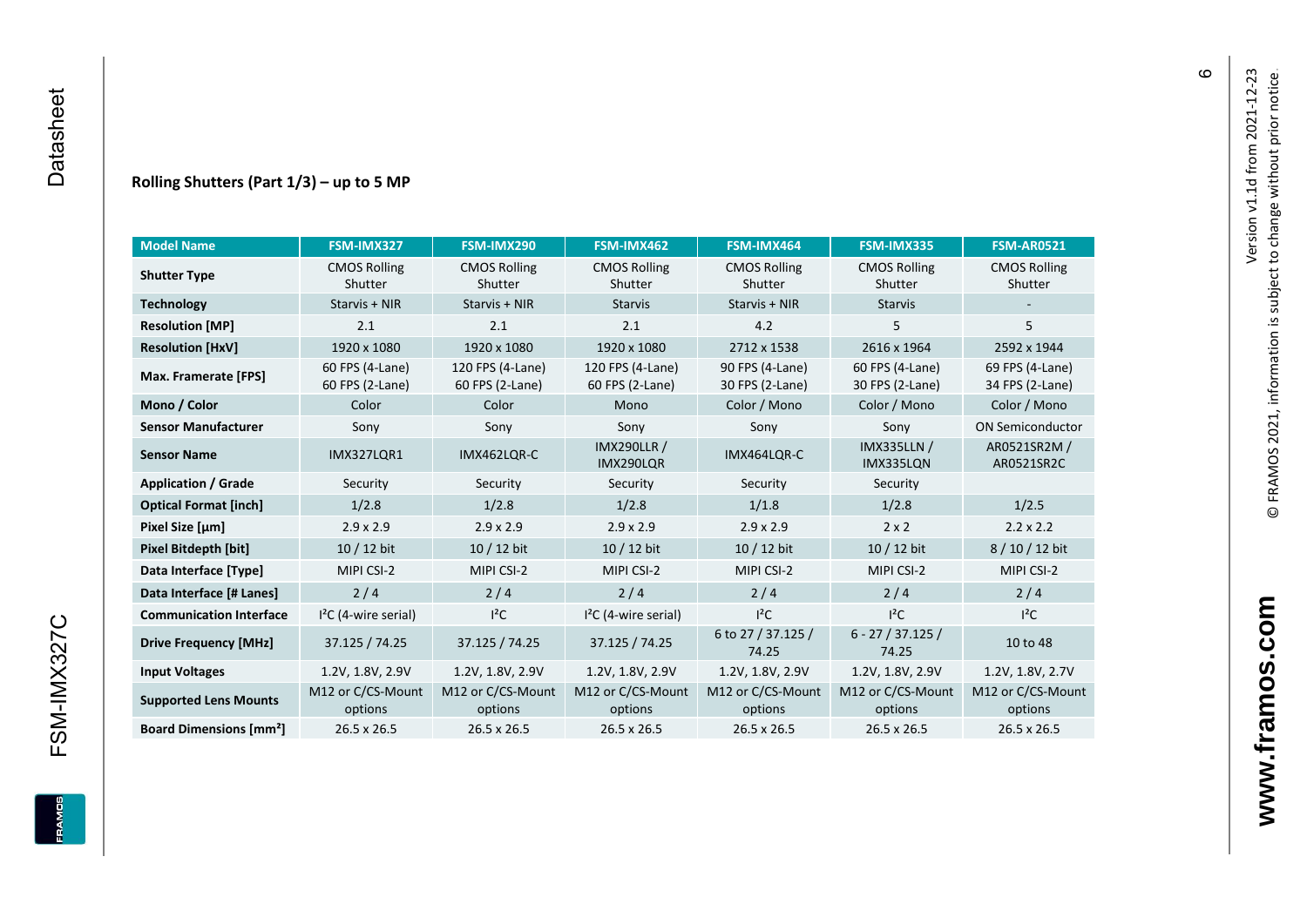#### **Rolling Shutters (Part 1/ 3 ) – up to 5 MP**

| <b>Model Name</b>                                     | FSM-IMX327                         | FSM-IMX290                          | FSM-IMX462                          | FSM-IMX464                         | FSM-IMX335                         | <b>FSM-AR0521</b>                  |
|-------------------------------------------------------|------------------------------------|-------------------------------------|-------------------------------------|------------------------------------|------------------------------------|------------------------------------|
| <b>CMOS Rolling</b><br><b>Shutter Type</b><br>Shutter |                                    | <b>CMOS Rolling</b><br>Shutter      | <b>CMOS Rolling</b><br>Shutter      | <b>CMOS Rolling</b><br>Shutter     | <b>CMOS Rolling</b><br>Shutter     | <b>CMOS Rolling</b><br>Shutter     |
| <b>Technology</b>                                     | Starvis + NIR                      | Starvis + NIR                       | <b>Starvis</b>                      | Starvis + NIR                      | <b>Starvis</b>                     |                                    |
| <b>Resolution [MP]</b>                                | 2.1                                | 2.1                                 | 2.1                                 | 4.2                                | 5                                  | 5                                  |
| <b>Resolution [HxV]</b>                               | 1920 x 1080                        | 1920 x 1080                         | 1920 x 1080                         | 2712 x 1538                        | 2616 x 1964                        | 2592 x 1944                        |
| Max. Framerate [FPS]                                  | 60 FPS (4-Lane)<br>60 FPS (2-Lane) | 120 FPS (4-Lane)<br>60 FPS (2-Lane) | 120 FPS (4-Lane)<br>60 FPS (2-Lane) | 90 FPS (4-Lane)<br>30 FPS (2-Lane) | 60 FPS (4-Lane)<br>30 FPS (2-Lane) | 69 FPS (4-Lane)<br>34 FPS (2-Lane) |
| Mono / Color                                          | Color                              | Color                               | Mono                                | Color / Mono                       | Color / Mono                       | Color / Mono                       |
| <b>Sensor Manufacturer</b>                            | Sony                               | Sony                                | Sony                                | Sony                               | Sony                               | <b>ON Semiconductor</b>            |
| <b>Sensor Name</b>                                    | <b>IMX327LOR1</b>                  | IMX462LQR-C                         | <b>IMX290LLR /</b><br>IMX290LQR     | IMX464LQR-C                        | <b>IMX335LLN /</b><br>IMX335LQN    | AR0521SR2M /<br>AR0521SR2C         |
| <b>Application / Grade</b>                            | Security<br>Security               |                                     | Security                            | Security                           | Security                           |                                    |
| <b>Optical Format [inch]</b>                          | 1/2.8                              | 1/2.8                               | 1/2.8                               | 1/1.8                              |                                    | 1/2.5                              |
| Pixel Size [µm]                                       | $2.9 \times 2.9$                   | $2.9 \times 2.9$                    | $2.9 \times 2.9$                    | $2.9 \times 2.9$                   | $2 \times 2$                       | $2.2 \times 2.2$                   |
| <b>Pixel Bitdepth [bit]</b>                           | 10 / 12 bit                        | 10 / 12 bit                         | 10 / 12 bit                         | 10 / 12 bit                        | 10 / 12 bit                        | 8/10/12 bit                        |
| Data Interface [Type]                                 | MIPI CSI-2                         | MIPI CSI-2                          | MIPI CSI-2                          | MIPI CSI-2                         | MIPI CSI-2                         | MIPI CSI-2                         |
| Data Interface [# Lanes]                              | 2/4                                | 2/4                                 | 2/4                                 | 2/4                                | 2/4                                | 2/4                                |
| <b>Communication Interface</b>                        | $I2C$ (4-wire serial)              | $I^2C$                              | $I2C$ (4-wire serial)               | $l^2C$                             | $l^2C$                             | $I^2C$                             |
| <b>Drive Frequency [MHz]</b>                          | 37.125 / 74.25                     | 37.125 / 74.25                      | 37.125 / 74.25                      | 6 to 27 / 37.125 /<br>74.25        | $6 - 27 / 37.125 /$<br>74.25       | 10 to 48                           |
| <b>Input Voltages</b>                                 | 1.2V, 1.8V, 2.9V                   | 1.2V, 1.8V, 2.9V                    | 1.2V, 1.8V, 2.9V                    | 1.2V, 1.8V, 2.9V                   | 1.2V, 1.8V, 2.9V                   | 1.2V, 1.8V, 2.7V                   |
| <b>Supported Lens Mounts</b>                          | M12 or C/CS-Mount<br>options       | M12 or C/CS-Mount<br>options        | M12 or C/CS-Mount<br>options        | M12 or C/CS-Mount<br>options       | M12 or C/CS-Mount<br>options       | M12 or C/CS-Mount<br>options       |
| <b>Board Dimensions [mm<sup>2</sup>]</b>              | $26.5 \times 26.5$                 | 26.5 x 26.5                         | 26.5 x 26.5                         | $26.5 \times 26.5$                 | 26.5 x 26.5                        | 26.5 x 26.5                        |

 $\pmb{\circ}$ 

FRAMOS

**www.framos.com**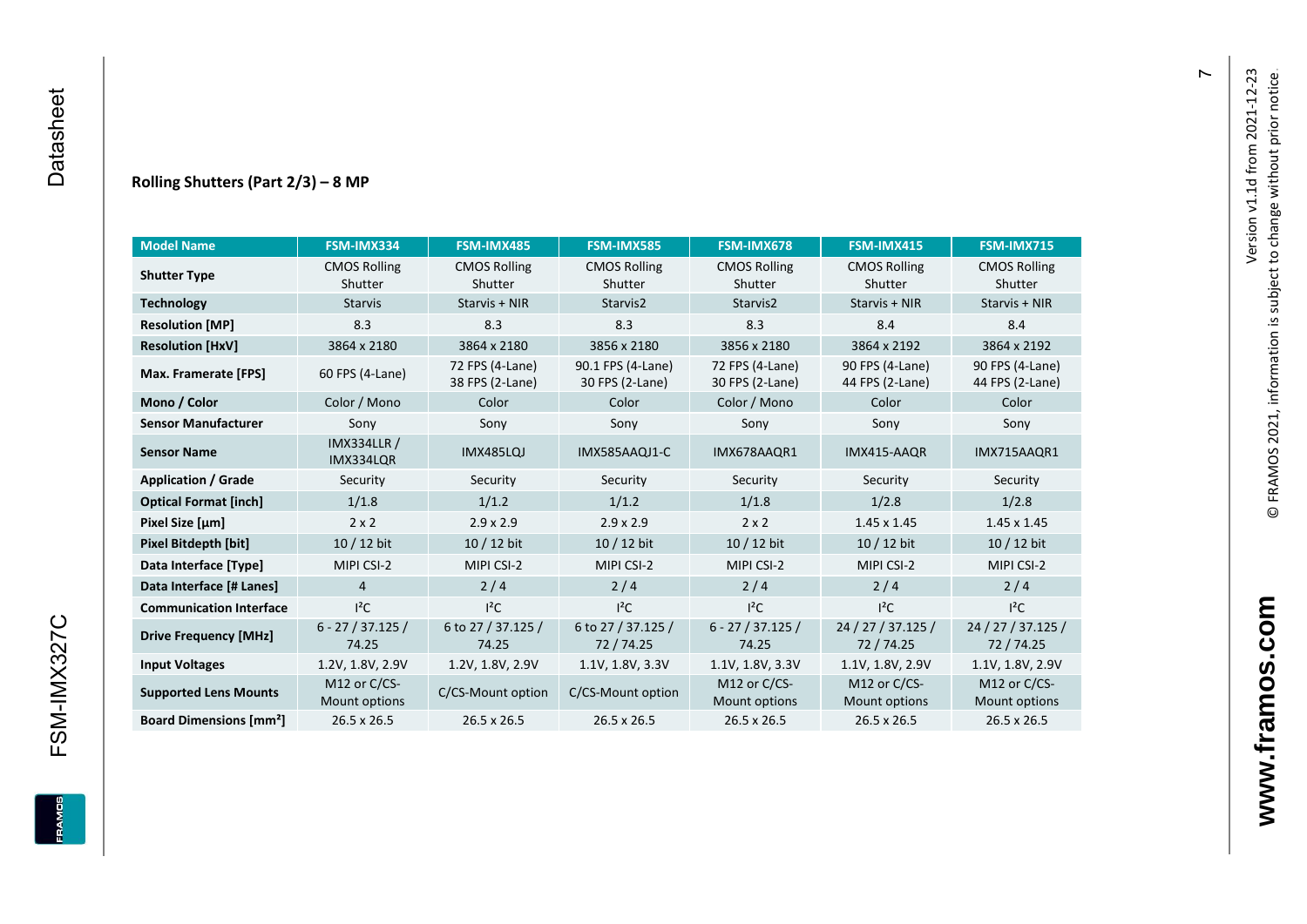#### **Rolling Shutters (Part 2/ 3 ) – 8 MP**

| <b>Model Name</b>                                     | FSM-IMX334                      | FSM-IMX485                         | <b>FSM-IMX585</b>                    | FSM-IMX678                         | FSM-IMX415                         | FSM-IMX715                         |
|-------------------------------------------------------|---------------------------------|------------------------------------|--------------------------------------|------------------------------------|------------------------------------|------------------------------------|
| <b>CMOS Rolling</b><br><b>Shutter Type</b><br>Shutter |                                 | <b>CMOS Rolling</b><br>Shutter     | <b>CMOS Rolling</b><br>Shutter       | <b>CMOS Rolling</b><br>Shutter     | <b>CMOS Rolling</b><br>Shutter     | <b>CMOS Rolling</b><br>Shutter     |
| <b>Technology</b>                                     | <b>Starvis</b>                  | Starvis + NIR                      | Starvis2                             | Starvis2                           | Starvis + NIR                      | Starvis + NIR                      |
| <b>Resolution [MP]</b>                                | 8.3                             | 8.3                                | 8.3                                  | 8.3                                | 8.4                                | 8.4                                |
| <b>Resolution [HxV]</b>                               | 3864 x 2180                     | 3864 x 2180                        | 3856 x 2180                          | 3856 x 2180                        | 3864 x 2192                        | 3864 x 2192                        |
| Max. Framerate [FPS]                                  | 60 FPS (4-Lane)                 | 72 FPS (4-Lane)<br>38 FPS (2-Lane) | 90.1 FPS (4-Lane)<br>30 FPS (2-Lane) | 72 FPS (4-Lane)<br>30 FPS (2-Lane) | 90 FPS (4-Lane)<br>44 FPS (2-Lane) | 90 FPS (4-Lane)<br>44 FPS (2-Lane) |
| Mono / Color                                          | Color / Mono                    | Color                              | Color                                | Color / Mono                       | Color                              | Color                              |
| <b>Sensor Manufacturer</b>                            | Sony                            | Sony                               | Sony                                 | Sony                               | Sony                               | Sony                               |
| <b>Sensor Name</b>                                    | <b>IMX334LLR /</b><br>IMX334LQR | IMX485LQJ                          | IMX585AAQJ1-C                        | IMX678AAQR1                        | IMX415-AAQR                        | IMX715AAQR1                        |
| <b>Application / Grade</b>                            | Security                        | Security                           | Security                             | Security                           | Security                           | Security                           |
| <b>Optical Format [inch]</b>                          | 1/1.8                           | 1/1.2                              | 1/1.2                                | 1/1.8                              | 1/2.8                              | 1/2.8                              |
| Pixel Size [µm]                                       | $2 \times 2$                    | $2.9 \times 2.9$                   | $2.9 \times 2.9$                     | $2 \times 2$                       | $1.45 \times 1.45$                 | $1.45 \times 1.45$                 |
| <b>Pixel Bitdepth [bit]</b>                           | 10 / 12 bit                     | 10 / 12 bit                        | 10 / 12 bit                          | 10 / 12 bit                        | 10 / 12 bit                        | 10 / 12 bit                        |
| Data Interface [Type]                                 | MIPI CSI-2                      | MIPI CSI-2                         | MIPI CSI-2                           | MIPI CSI-2                         | MIPI CSI-2                         | MIPI CSI-2                         |
| Data Interface [# Lanes]                              | $\overline{4}$                  | 2/4                                | 2/4                                  | 2/4                                | 2/4                                | 2/4                                |
| <b>Communication Interface</b>                        | $I^2C$                          | $I^2C$                             | $l^2C$                               | $I^2C$                             | $l^2C$                             | $l^2C$                             |
| <b>Drive Frequency [MHz]</b>                          | $6 - 27 / 37.125 /$<br>74.25    | 6 to 27 / 37.125 /<br>74.25        | 6 to 27 / 37.125 /<br>72/74.25       | $6 - 27 / 37.125 /$<br>74.25       | 24 / 27 / 37.125 /<br>72 / 74.25   | 24 / 27 / 37.125 /<br>72 / 74.25   |
| <b>Input Voltages</b>                                 | 1.2V, 1.8V, 2.9V                | 1.2V, 1.8V, 2.9V                   | 1.1V, 1.8V, 3.3V                     | 1.1V, 1.8V, 3.3V                   | 1.1V, 1.8V, 2.9V                   | 1.1V, 1.8V, 2.9V                   |
| <b>Supported Lens Mounts</b>                          | M12 or C/CS-<br>Mount options   | C/CS-Mount option                  | C/CS-Mount option                    | M12 or C/CS-<br>Mount options      | M12 or C/CS-<br>Mount options      | M12 or C/CS-<br>Mount options      |
| <b>Board Dimensions [mm<sup>2</sup>]</b>              | 26.5 x 26.5                     | 26.5 x 26.5                        | 26.5 x 26.5                          | 26.5 x 26.5                        | 26.5 x 26.5                        | 26.5 x 26.5                        |

 $\overline{r}$ 

FSM-IMX327C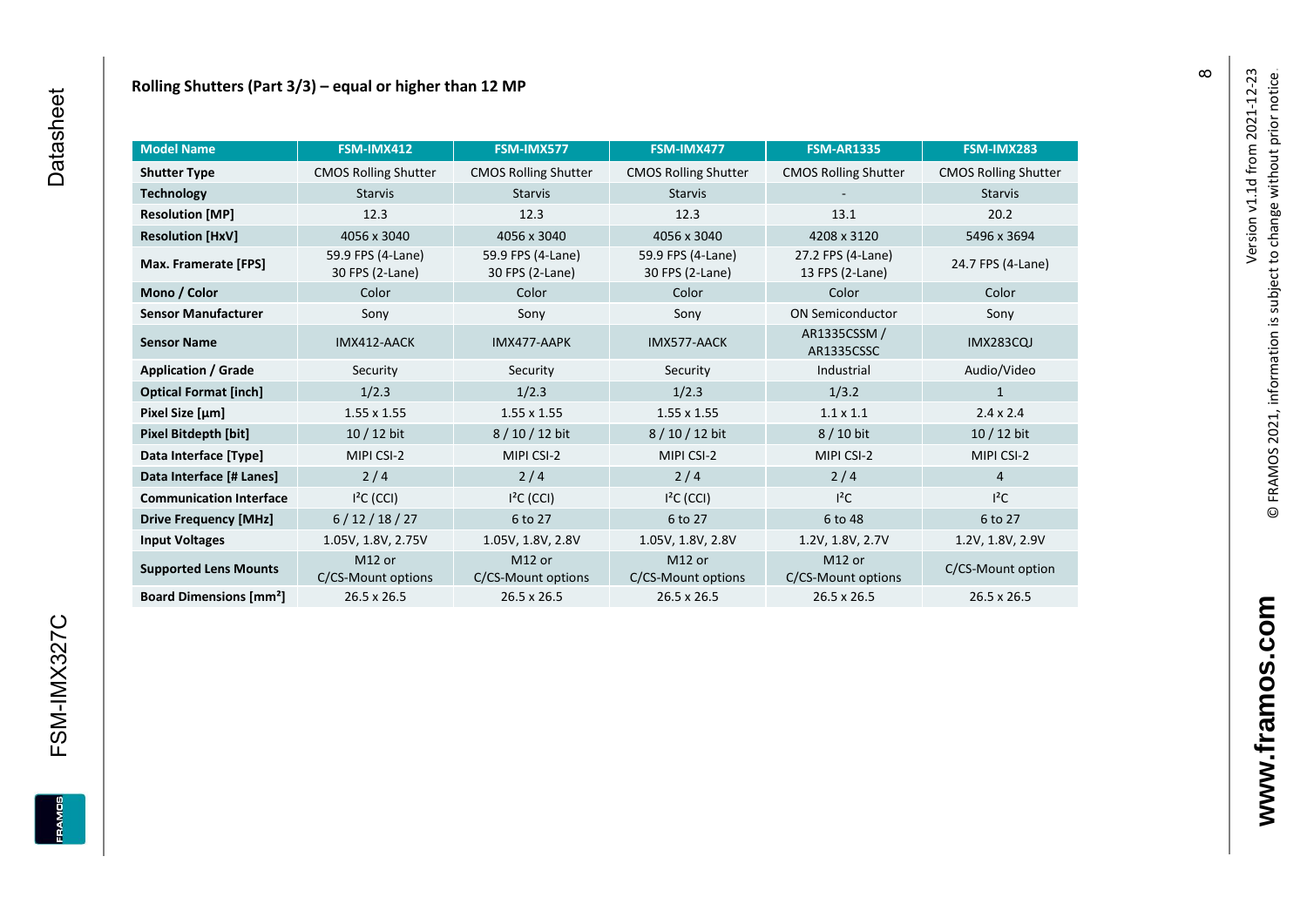| <b>Model Name</b>                        | FSM-IMX412                               | FSM-IMX577                           | FSM-IMX477                           | <b>FSM-AR1335</b>                    | FSM-IMX283                  |
|------------------------------------------|------------------------------------------|--------------------------------------|--------------------------------------|--------------------------------------|-----------------------------|
| <b>Shutter Type</b>                      | <b>CMOS Rolling Shutter</b>              | <b>CMOS Rolling Shutter</b>          | <b>CMOS Rolling Shutter</b>          | <b>CMOS Rolling Shutter</b>          | <b>CMOS Rolling Shutter</b> |
| <b>Technology</b>                        | <b>Starvis</b>                           | <b>Starvis</b>                       | <b>Starvis</b>                       |                                      | <b>Starvis</b>              |
| <b>Resolution [MP]</b>                   | 12.3                                     | 12.3                                 | 12.3                                 | 13.1                                 | 20.2                        |
| <b>Resolution [HxV]</b>                  | 4056 x 3040                              | 4056 x 3040                          | 4056 x 3040                          | 4208 x 3120                          | 5496 x 3694                 |
| Max. Framerate [FPS]                     | 59.9 FPS (4-Lane)<br>30 FPS (2-Lane)     | 59.9 FPS (4-Lane)<br>30 FPS (2-Lane) | 59.9 FPS (4-Lane)<br>30 FPS (2-Lane) | 27.2 FPS (4-Lane)<br>13 FPS (2-Lane) | 24.7 FPS (4-Lane)           |
| Mono / Color                             | Color                                    | Color                                | Color                                | Color                                | Color                       |
| <b>Sensor Manufacturer</b>               | Sony                                     | Sony                                 | Sony                                 | <b>ON Semiconductor</b>              | Sony                        |
| <b>Sensor Name</b>                       | IMX412-AACK                              | IMX477-AAPK                          | IMX577-AACK                          | AR1335CSSM /<br>AR1335CSSC           | <b>IMX283CQJ</b>            |
| <b>Application / Grade</b>               | Security                                 | Security                             | Security                             | Industrial                           | Audio/Video                 |
| <b>Optical Format [inch]</b>             | 1/2.3                                    | 1/2.3                                | 1/2.3                                | 1/3.2                                | $\mathbf{1}$                |
| Pixel Size [µm]                          | $1.55 \times 1.55$                       | $1.55 \times 1.55$                   | $1.55 \times 1.55$                   | $1.1 \times 1.1$                     | $2.4 \times 2.4$            |
| Pixel Bitdepth [bit]                     | $10/12$ bit                              | 8 / 10 / 12 bit                      | 8 / 10 / 12 bit                      | 8 / 10 bit                           | $10/12$ bit                 |
| Data Interface [Type]                    | MIPI CSI-2                               | MIPI CSI-2                           | MIPI CSI-2                           | MIPI CSI-2                           | MIPI CSI-2                  |
| Data Interface [# Lanes]                 | 2/4                                      | 2/4                                  | 2/4                                  | 2/4                                  | $\overline{4}$              |
| <b>Communication Interface</b>           | $I2C$ (CCI)                              | $I2C$ (CCI)                          | $I2C$ (CCI)                          | $I^2C$                               | $l^2C$                      |
| <b>Drive Frequency [MHz]</b>             | 6/12/18/27                               | 6 to 27                              | 6 to 27                              | 6 to 48                              | 6 to 27                     |
| <b>Input Voltages</b>                    | 1.05V, 1.8V, 2.75V                       | 1.05V, 1.8V, 2.8V                    | 1.05V, 1.8V, 2.8V                    | 1.2V, 1.8V, 2.7V                     | 1.2V, 1.8V, 2.9V            |
| <b>Supported Lens Mounts</b>             | M <sub>12</sub> or<br>C/CS-Mount options | M12 or<br>C/CS-Mount options         | M12 or<br>C/CS-Mount options         | M12 or<br>C/CS-Mount options         | C/CS-Mount option           |
| <b>Board Dimensions [mm<sup>2</sup>]</b> | 26.5 x 26.5                              | 26.5 x 26.5                          | 26.5 x 26.5                          | 26.5 x 26.5                          | 26.5 x 26.5                 |

 $\infty$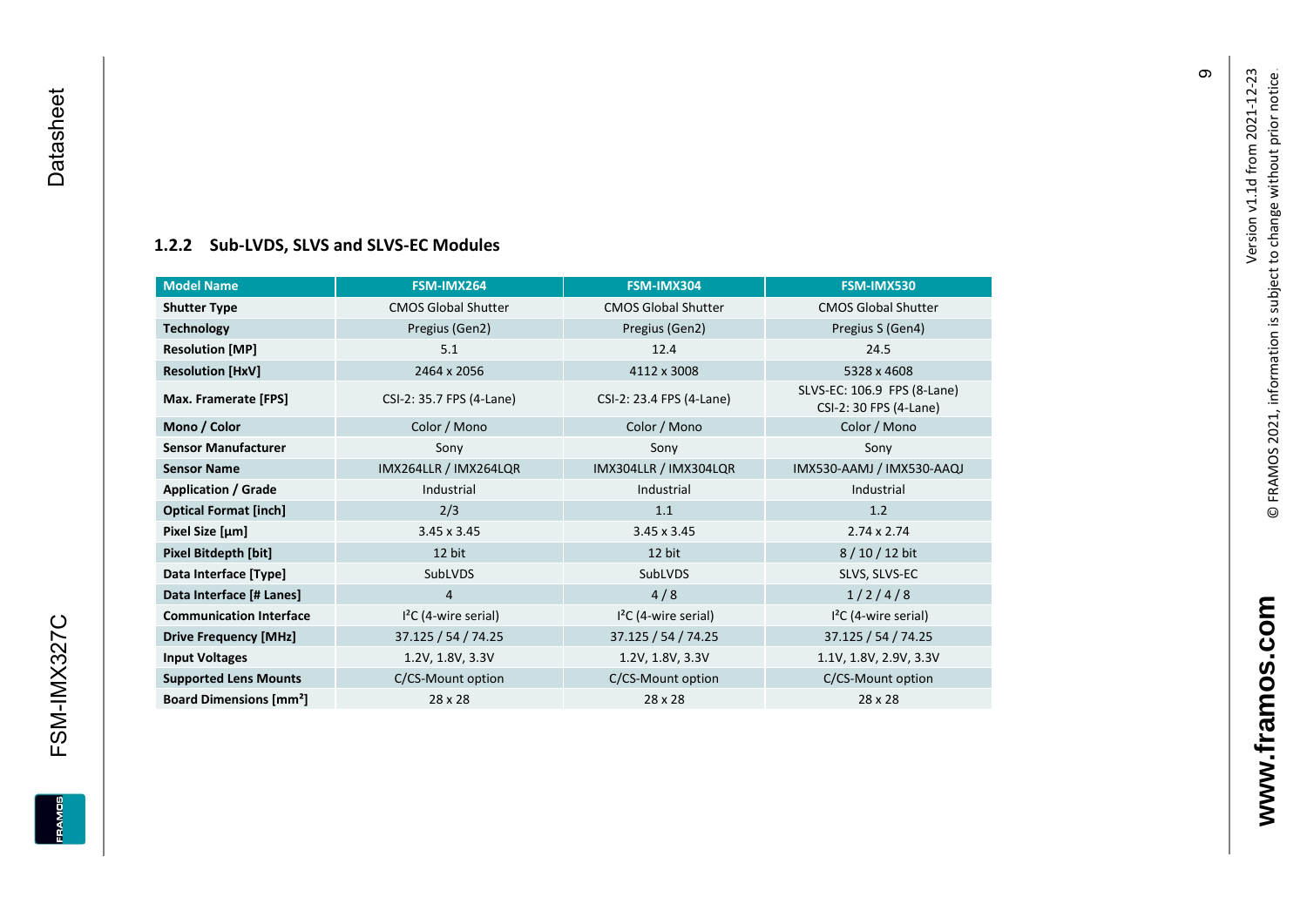<span id="page-10-0"></span>FSM-IMX327C

**EDWARE** 

#### **[1.2.2](#page-0-7) Sub -LVDS, SLVS and SLVS -EC Modules**

| <b>Model Name</b>                        | FSM-IMX264                 | FSM-IMX304                 | FSM-IMX530                                            |
|------------------------------------------|----------------------------|----------------------------|-------------------------------------------------------|
| <b>Shutter Type</b>                      | <b>CMOS Global Shutter</b> | <b>CMOS Global Shutter</b> | <b>CMOS Global Shutter</b>                            |
| <b>Technology</b>                        | Pregius (Gen2)             | Pregius (Gen2)             | Pregius S (Gen4)                                      |
| <b>Resolution [MP]</b>                   | 5.1                        | 12.4                       | 24.5                                                  |
| <b>Resolution [HxV]</b>                  | 2464 x 2056                | 4112 x 3008                | 5328 x 4608                                           |
| Max. Framerate [FPS]                     | CSI-2: 35.7 FPS (4-Lane)   | CSI-2: 23.4 FPS (4-Lane)   | SLVS-EC: 106.9 FPS (8-Lane)<br>CSI-2: 30 FPS (4-Lane) |
| Mono / Color                             | Color / Mono               | Color / Mono               | Color / Mono                                          |
| <b>Sensor Manufacturer</b>               | Sony                       | Sony                       | Sony                                                  |
| <b>Sensor Name</b>                       | IMX264LLR / IMX264LQR      | IMX304LLR / IMX304LQR      | IMX530-AAMJ / IMX530-AAQJ                             |
| <b>Application / Grade</b>               | Industrial                 | Industrial                 | Industrial                                            |
| <b>Optical Format [inch]</b>             | 2/3                        | 1.1                        | 1.2                                                   |
| Pixel Size [µm]                          | $3.45 \times 3.45$         | $3.45 \times 3.45$         | $2.74 \times 2.74$                                    |
| Pixel Bitdepth [bit]                     | 12 bit                     | 12 bit                     | 8/10/12 bit                                           |
| Data Interface [Type]                    | SubLVDS                    | <b>SubLVDS</b>             | SLVS, SLVS-EC                                         |
| Data Interface [# Lanes]                 | 4                          | 4/8                        | 1/2/4/8                                               |
| <b>Communication Interface</b>           | $I2C$ (4-wire serial)      | $I2C$ (4-wire serial)      | $I2C$ (4-wire serial)                                 |
| <b>Drive Frequency [MHz]</b>             | 37.125 / 54 / 74.25        | 37.125 / 54 / 74.25        | 37.125 / 54 / 74.25                                   |
| <b>Input Voltages</b>                    | 1.2V, 1.8V, 3.3V           | 1.2V, 1.8V, 3.3V           | 1.1V, 1.8V, 2.9V, 3.3V                                |
| <b>Supported Lens Mounts</b>             | C/CS-Mount option          | C/CS-Mount option          | C/CS-Mount option                                     |
| <b>Board Dimensions [mm<sup>2</sup>]</b> | 28 x 28                    | 28 x 28                    | 28 x 28                                               |

თ

**www.framos.com**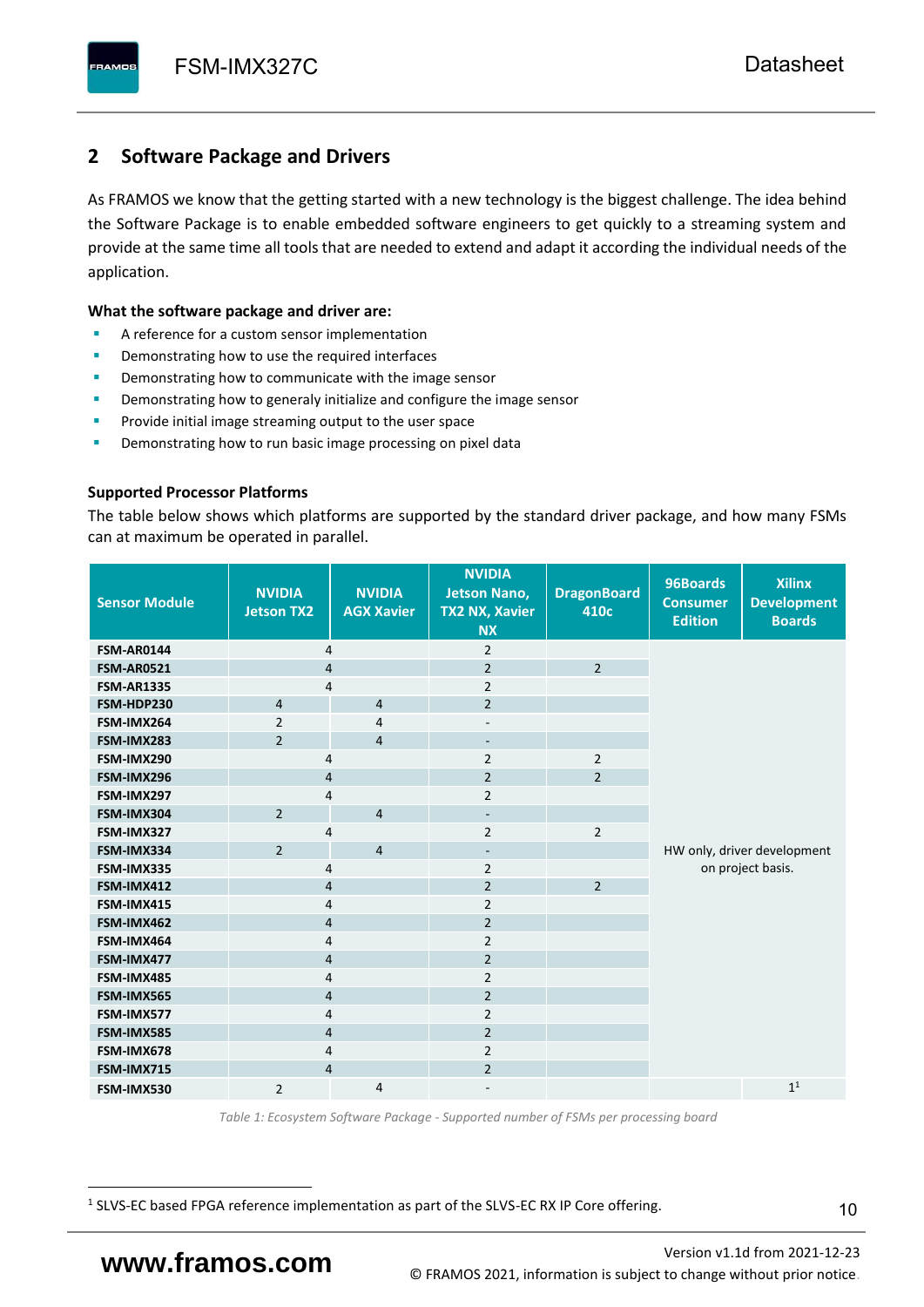## <span id="page-11-0"></span>**2 Software Package and Drivers**

As FRAMOS we know that the getting started with a new technology is the biggest challenge. The idea behind the Software Package is to enable embedded software engineers to get quickly to a streaming system and provide at the same time all tools that are needed to extend and adapt it according the individual needs of the application.

#### **What the software package and driver are:**

- A reference for a custom sensor implementation
- Demonstrating how to use the required interfaces
- Demonstrating how to communicate with the image sensor
- Demonstrating how to generaly initialize and configure the image sensor
- Provide initial image streaming output to the user space
- Demonstrating how to run basic image processing on pixel data

#### **Supported Processor Platforms**

The table below shows which platforms are supported by the standard driver package, and how many FSMs can at maximum be operated in parallel.

| <b>Sensor Module</b> | <b>NVIDIA</b><br><b>Jetson TX2</b> | <b>NVIDIA</b><br><b>AGX Xavier</b> | <b>NVIDIA</b><br><b>Jetson Nano,</b><br><b>TX2 NX, Xavier</b><br><b>NX</b> | <b>DragonBoard</b><br>410c | 96Boards<br><b>Consumer</b><br><b>Edition</b> | <b>Xilinx</b><br><b>Development</b><br><b>Boards</b> |  |
|----------------------|------------------------------------|------------------------------------|----------------------------------------------------------------------------|----------------------------|-----------------------------------------------|------------------------------------------------------|--|
| <b>FSM-AR0144</b>    | $\overline{4}$                     |                                    | $\overline{2}$                                                             |                            |                                               |                                                      |  |
| <b>FSM-AR0521</b>    | $\overline{4}$                     |                                    | $\overline{2}$                                                             | $\overline{2}$             |                                               |                                                      |  |
| <b>FSM-AR1335</b>    | 4                                  |                                    | $\overline{2}$                                                             |                            |                                               |                                                      |  |
| FSM-HDP230           | $\overline{4}$                     | $\overline{4}$                     | $\overline{2}$                                                             |                            |                                               |                                                      |  |
| FSM-IMX264           | $\overline{2}$                     | $\overline{4}$                     | $\overline{\phantom{a}}$                                                   |                            |                                               |                                                      |  |
| FSM-IMX283           | $\overline{2}$                     | $\overline{4}$                     | $\overline{\phantom{a}}$                                                   |                            |                                               |                                                      |  |
| FSM-IMX290           | 4                                  |                                    | $\overline{2}$                                                             | $\overline{2}$             |                                               |                                                      |  |
| FSM-IMX296           | 4                                  |                                    | $\overline{2}$                                                             | $\overline{2}$             |                                               |                                                      |  |
| FSM-IMX297           | 4                                  |                                    | $\overline{2}$                                                             |                            |                                               |                                                      |  |
| FSM-IMX304           | $\overline{2}$                     | $\overline{4}$                     | $\overline{\phantom{a}}$                                                   |                            |                                               |                                                      |  |
| FSM-IMX327           | 4                                  |                                    | $\overline{2}$                                                             | $\overline{2}$             |                                               |                                                      |  |
| FSM-IMX334           | $\overline{2}$                     | $\overline{4}$                     | $\overline{\phantom{0}}$                                                   |                            |                                               | HW only, driver development                          |  |
| FSM-IMX335           | 4                                  |                                    | $\overline{2}$                                                             |                            |                                               | on project basis.                                    |  |
| FSM-IMX412           | $\overline{4}$                     |                                    | $\overline{2}$                                                             | $\overline{2}$             |                                               |                                                      |  |
| FSM-IMX415           | $\overline{4}$                     |                                    | $\overline{2}$                                                             |                            |                                               |                                                      |  |
| FSM-IMX462           | $\overline{4}$                     |                                    | $\overline{2}$                                                             |                            |                                               |                                                      |  |
| FSM-IMX464           | 4                                  |                                    | $\overline{2}$                                                             |                            |                                               |                                                      |  |
| FSM-IMX477           | 4                                  |                                    | $\overline{2}$                                                             |                            |                                               |                                                      |  |
| FSM-IMX485           | 4                                  |                                    | $\overline{2}$                                                             |                            |                                               |                                                      |  |
| FSM-IMX565           | $\overline{4}$                     |                                    | $\overline{2}$                                                             |                            |                                               |                                                      |  |
| FSM-IMX577           | $\overline{4}$                     |                                    | $\overline{2}$                                                             |                            |                                               |                                                      |  |
| FSM-IMX585           | $\overline{4}$                     |                                    | $\overline{2}$                                                             |                            |                                               |                                                      |  |
| FSM-IMX678           | 4                                  |                                    | $\overline{2}$                                                             |                            |                                               |                                                      |  |
| FSM-IMX715           | $\overline{4}$                     |                                    | $\overline{2}$                                                             |                            |                                               |                                                      |  |
| FSM-IMX530           | $\overline{2}$                     | $\overline{4}$                     |                                                                            |                            |                                               | 1 <sup>1</sup>                                       |  |

*Table 1: Ecosystem Software Package - Supported number of FSMs per processing board*

<sup>1</sup> SLVS-EC based FPGA reference implementation as part of the SLVS-EC RX IP Core offering.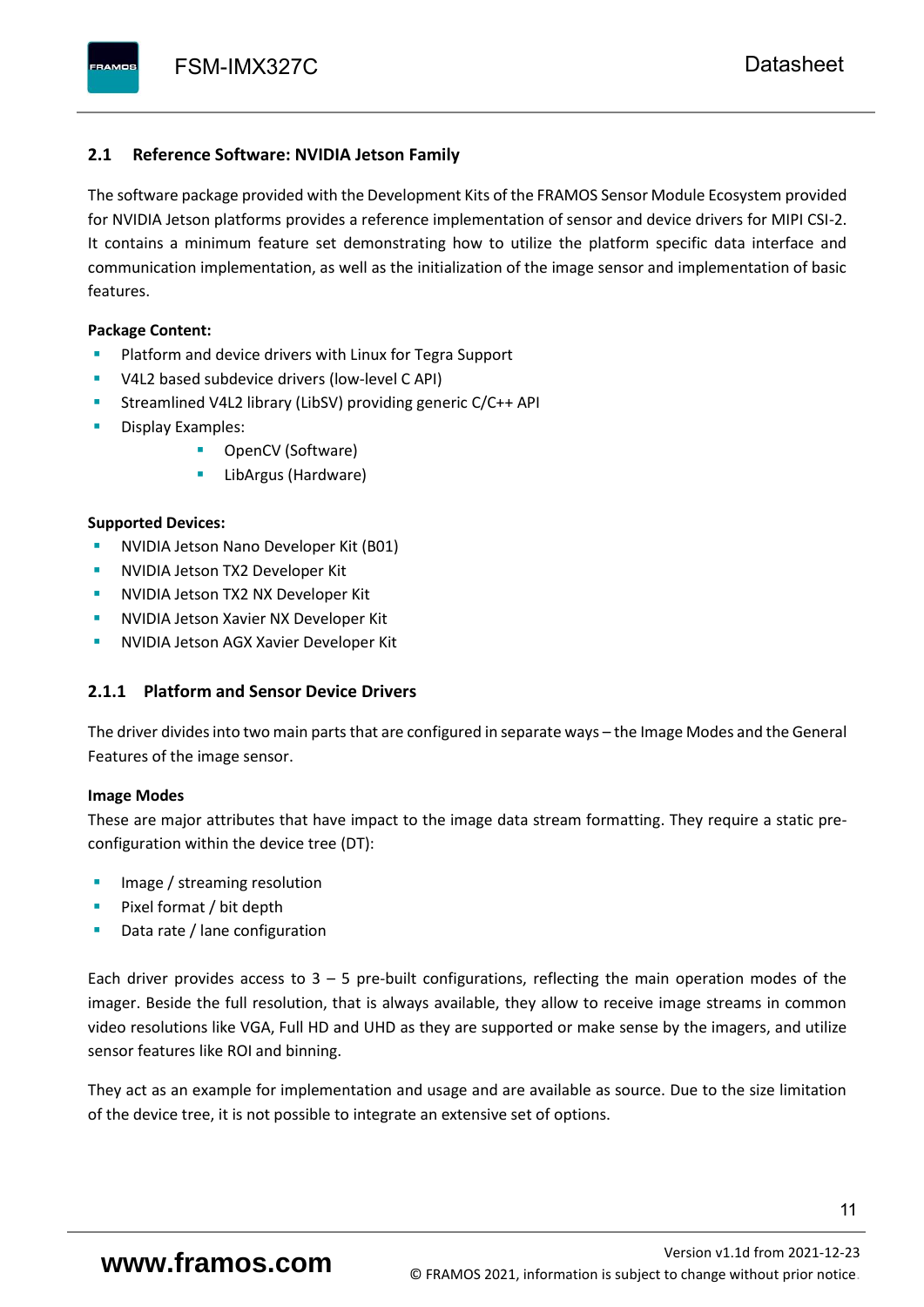#### <span id="page-12-0"></span>**2.1 Reference Software: NVIDIA Jetson Family**

The software package provided with the Development Kits of the FRAMOS Sensor Module Ecosystem provided for NVIDIA Jetson platforms provides a reference implementation of sensor and device drivers for MIPI CSI-2. It contains a minimum feature set demonstrating how to utilize the platform specific data interface and communication implementation, as well as the initialization of the image sensor and implementation of basic features.

#### **Package Content:**

- Platform and device drivers with Linux for Tegra Support
- V4L2 based subdevice drivers (low-level C API)
- Streamlined V4L2 library (LibSV) providing generic C/C++ API
- Display Examples:
	- OpenCV (Software)
	- LibArgus (Hardware)

#### **Supported Devices:**

- **NVIDIA Jetson Nano Developer Kit (B01)**
- **NVIDIA Jetson TX2 Developer Kit**
- NVIDIA Jetson TX2 NX Developer Kit
- **NVIDIA Jetson Xavier NX Developer Kit**
- **NVIDIA Jetson AGX Xavier Developer Kit**

### <span id="page-12-1"></span>**2.1.1 Platform and Sensor Device Drivers**

The driver divides into two main parts that are configured in separate ways – the Image Modes and the General Features of the image sensor.

#### **Image Modes**

These are major attributes that have impact to the image data stream formatting. They require a static preconfiguration within the device tree (DT):

- Image / streaming resolution
- Pixel format / bit depth
- Data rate / lane configuration

Each driver provides access to  $3 - 5$  pre-built configurations, reflecting the main operation modes of the imager. Beside the full resolution, that is always available, they allow to receive image streams in common video resolutions like VGA, Full HD and UHD as they are supported or make sense by the imagers, and utilize sensor features like ROI and binning.

They act as an example for implementation and usage and are available as source. Due to the size limitation of the device tree, it is not possible to integrate an extensive set of options.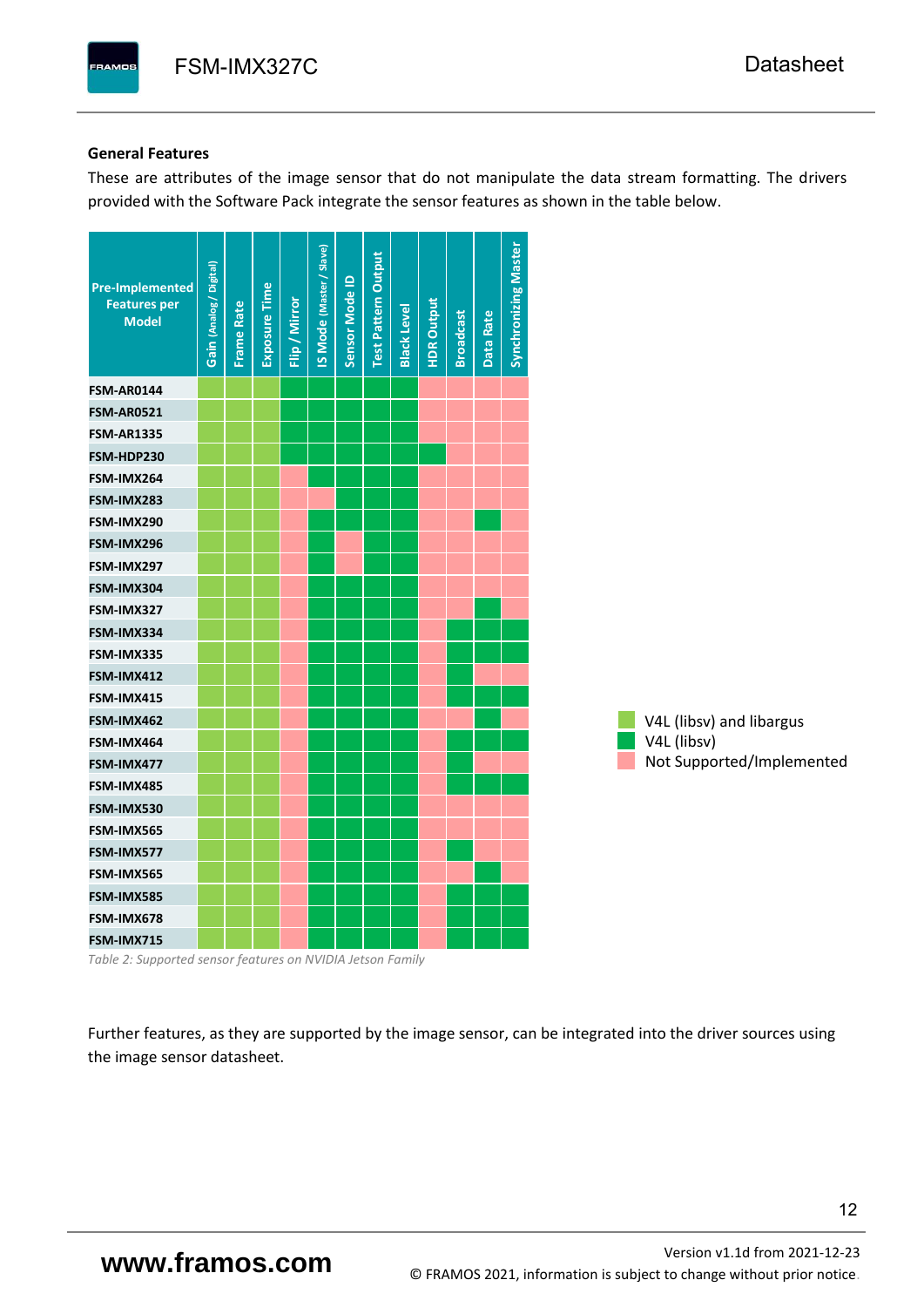#### **General Features**

These are attributes of the image sensor that do not manipulate the data stream formatting. The drivers provided with the Software Pack integrate the sensor features as shown in the table below.

| <b>Pre-Implemented</b><br><b>Features per</b><br><b>Model</b> | Gain (Analog / Digital) | <b>Frame Rate</b> | Exposure Time | Flip / Mirror | <b>IS Mode (Master / Slave)</b> | Sensor Mode ID | <b>Test Pattern Output</b> | <b>Black Level</b> | <b>HDR Output</b> | <b>Broadcast</b> | Data Rate | <b>Synchronizing Master</b> |
|---------------------------------------------------------------|-------------------------|-------------------|---------------|---------------|---------------------------------|----------------|----------------------------|--------------------|-------------------|------------------|-----------|-----------------------------|
| <b>FSM-AR0144</b>                                             |                         |                   |               |               |                                 |                |                            |                    |                   |                  |           |                             |
| <b>FSM-AR0521</b>                                             |                         |                   |               |               |                                 |                |                            |                    |                   |                  |           |                             |
| <b>FSM-AR1335</b>                                             |                         |                   |               |               |                                 |                |                            |                    |                   |                  |           |                             |
| FSM-HDP230                                                    |                         |                   |               |               |                                 |                |                            |                    |                   |                  |           |                             |
| FSM-IMX264                                                    |                         |                   |               |               |                                 |                |                            |                    |                   |                  |           |                             |
| FSM-IMX283                                                    |                         |                   |               |               |                                 |                |                            |                    |                   |                  |           |                             |
| FSM-IMX290                                                    |                         |                   |               |               |                                 |                |                            |                    |                   |                  |           |                             |
| FSM-IMX296                                                    |                         |                   |               |               |                                 |                |                            |                    |                   |                  |           |                             |
| FSM-IMX297                                                    |                         |                   |               |               |                                 |                |                            |                    |                   |                  |           |                             |
| FSM-IMX304                                                    |                         |                   |               |               |                                 |                |                            |                    |                   |                  |           |                             |
| FSM-IMX327                                                    |                         |                   |               |               |                                 |                |                            |                    |                   |                  |           |                             |
| FSM-IMX334                                                    |                         |                   |               |               |                                 |                |                            |                    |                   |                  |           |                             |
| FSM-IMX335                                                    |                         |                   |               |               |                                 |                |                            |                    |                   |                  |           |                             |
| FSM-IMX412                                                    |                         |                   |               |               |                                 |                |                            |                    |                   |                  |           |                             |
| FSM-IMX415                                                    |                         |                   |               |               |                                 |                |                            |                    |                   |                  |           |                             |
| FSM-IMX462                                                    |                         |                   |               |               |                                 |                |                            |                    |                   |                  |           |                             |
| FSM-IMX464                                                    |                         |                   |               |               |                                 |                |                            |                    |                   |                  |           |                             |
| FSM-IMX477                                                    |                         |                   |               |               |                                 |                |                            |                    |                   |                  |           |                             |
| FSM-IMX485                                                    |                         |                   |               |               |                                 |                |                            |                    |                   |                  |           |                             |
| FSM-IMX530                                                    |                         |                   |               |               |                                 |                |                            |                    |                   |                  |           |                             |
| FSM-IMX565                                                    |                         |                   |               |               |                                 |                |                            |                    |                   |                  |           |                             |
| FSM-IMX577                                                    |                         |                   |               |               |                                 |                |                            |                    |                   |                  |           |                             |
| FSM-IMX565                                                    |                         |                   |               |               |                                 |                |                            |                    |                   |                  |           |                             |
| FSM-IMX585                                                    |                         |                   |               |               |                                 |                |                            |                    |                   |                  |           |                             |
| FSM-IMX678                                                    |                         |                   |               |               |                                 |                |                            |                    |                   |                  |           |                             |
| FSM-IMX715                                                    |                         |                   |               |               |                                 |                |                            |                    |                   |                  |           |                             |

*Table 2: Supported sensor features on NVIDIA Jetson Family*

Further features, as they are supported by the image sensor, can be integrated into the driver sources using the image sensor datasheet.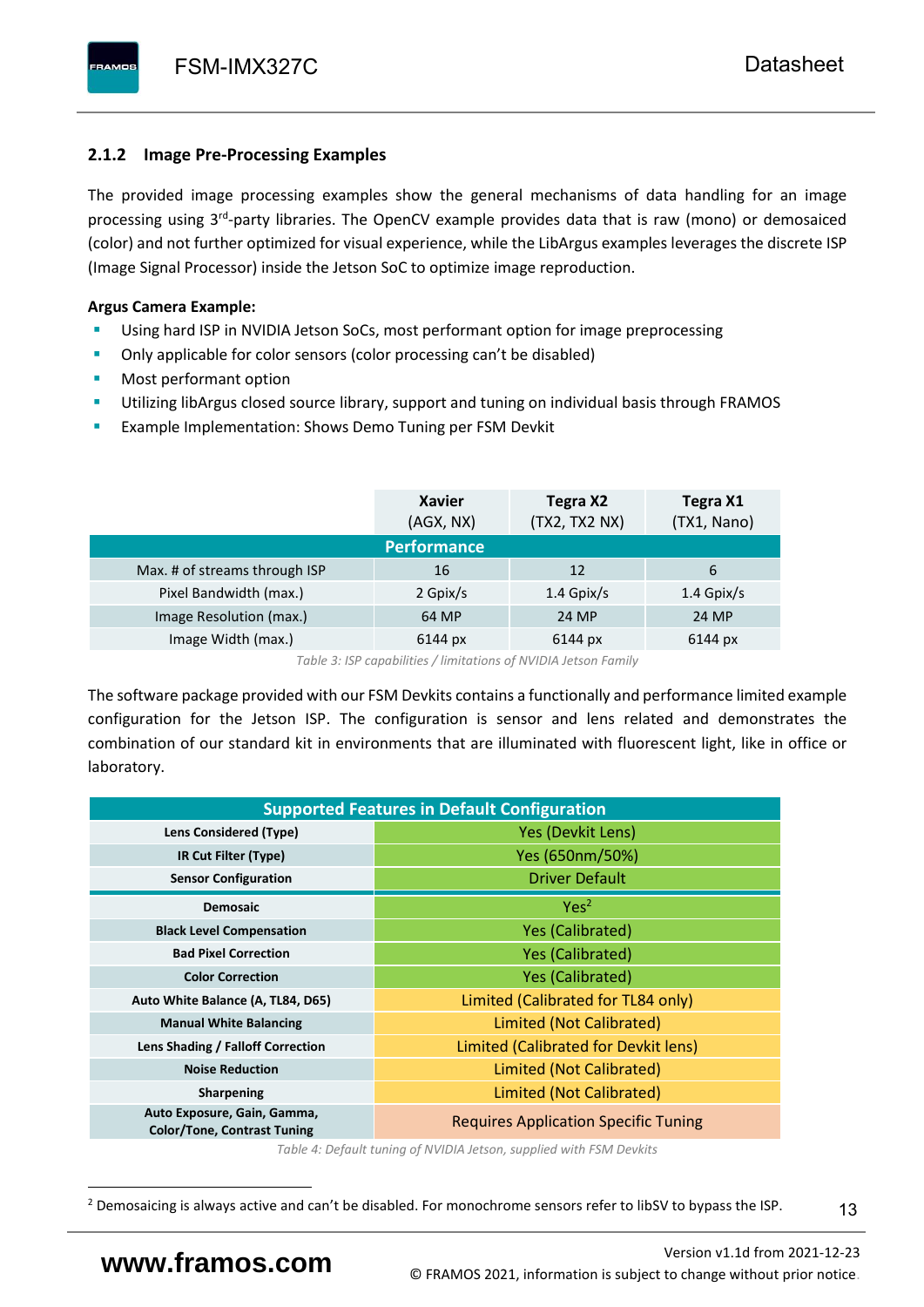## <span id="page-14-0"></span>**2.1.2 Image Pre-Processing Examples**

The provided image processing examples show the general mechanisms of data handling for an image processing using 3<sup>rd</sup>-party libraries. The OpenCV example provides data that is raw (mono) or demosaiced (color) and not further optimized for visual experience, while the LibArgus examples leverages the discrete ISP (Image Signal Processor) inside the Jetson SoC to optimize image reproduction.

## **Argus Camera Example:**

- Using hard ISP in NVIDIA Jetson SoCs, most performant option for image preprocessing
- Only applicable for color sensors (color processing can't be disabled)
- Most performant option
- Utilizing libArgus closed source library, support and tuning on individual basis through FRAMOS
- Example Implementation: Shows Demo Tuning per FSM Devkit

|                               | <b>Xavier</b><br>(AGX, NX) | Tegra X2<br>(TX2, TX2 NX) | Tegra X1<br>(TX1, Nano) |  |  |  |  |  |  |  |  |  |
|-------------------------------|----------------------------|---------------------------|-------------------------|--|--|--|--|--|--|--|--|--|
| <b>Performance</b>            |                            |                           |                         |  |  |  |  |  |  |  |  |  |
| Max. # of streams through ISP | 16                         | 12                        | 6                       |  |  |  |  |  |  |  |  |  |
| Pixel Bandwidth (max.)        | 2 Gpix/s                   | $1.4$ Gpix/s              | $1.4$ Gpix/s            |  |  |  |  |  |  |  |  |  |
| Image Resolution (max.)       | 64 MP                      | 24 MP                     | 24 MP                   |  |  |  |  |  |  |  |  |  |
| Image Width (max.)            | 6144 px                    | 6144 px                   | 6144 px                 |  |  |  |  |  |  |  |  |  |

*Table 3: ISP capabilities / limitations of NVIDIA Jetson Family*

The software package provided with our FSM Devkits contains a functionally and performance limited example configuration for the Jetson ISP. The configuration is sensor and lens related and demonstrates the combination of our standard kit in environments that are illuminated with fluorescent light, like in office or laboratory.

|                                                                   | <b>Supported Features in Default Configuration</b> |  |  |  |
|-------------------------------------------------------------------|----------------------------------------------------|--|--|--|
| Lens Considered (Type)                                            | Yes (Devkit Lens)                                  |  |  |  |
| IR Cut Filter (Type)                                              | Yes (650nm/50%)                                    |  |  |  |
| <b>Sensor Configuration</b>                                       | <b>Driver Default</b>                              |  |  |  |
| <b>Demosaic</b>                                                   | Yes <sup>2</sup>                                   |  |  |  |
| <b>Black Level Compensation</b>                                   | <b>Yes (Calibrated)</b>                            |  |  |  |
| <b>Bad Pixel Correction</b>                                       | <b>Yes (Calibrated)</b>                            |  |  |  |
| <b>Color Correction</b>                                           | <b>Yes (Calibrated)</b>                            |  |  |  |
| Auto White Balance (A, TL84, D65)                                 | Limited (Calibrated for TL84 only)                 |  |  |  |
| <b>Manual White Balancing</b>                                     | Limited (Not Calibrated)                           |  |  |  |
| Lens Shading / Falloff Correction                                 | Limited (Calibrated for Devkit lens)               |  |  |  |
| <b>Noise Reduction</b>                                            | Limited (Not Calibrated)                           |  |  |  |
| <b>Sharpening</b>                                                 | Limited (Not Calibrated)                           |  |  |  |
| Auto Exposure, Gain, Gamma,<br><b>Color/Tone, Contrast Tuning</b> | <b>Requires Application Specific Tuning</b>        |  |  |  |

*Table 4: Default tuning of NVIDIA Jetson, supplied with FSM Devkits*

<sup>&</sup>lt;sup>2</sup> Demosaicing is always active and can't be disabled. For monochrome sensors refer to libSV to bypass the ISP.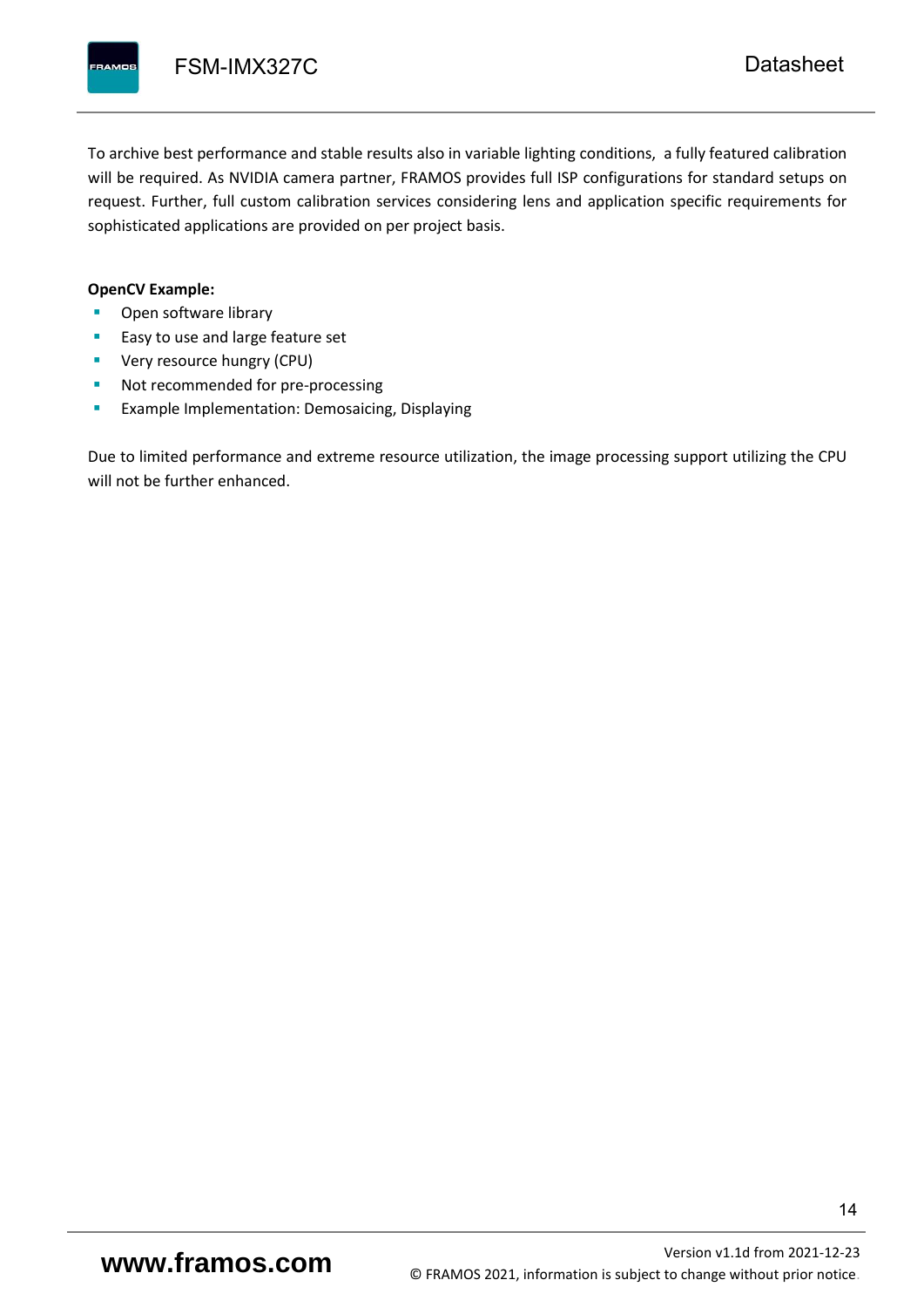To archive best performance and stable results also in variable lighting conditions, a fully featured calibration will be required. As NVIDIA camera partner, FRAMOS provides full ISP configurations for standard setups on request. Further, full custom calibration services considering lens and application specific requirements for sophisticated applications are provided on per project basis.

#### **OpenCV Example:**

- Open software library
- Easy to use and large feature set
- **•** Very resource hungry (CPU)
- Not recommended for pre-processing
- **Example Implementation: Demosaicing, Displaying**

Due to limited performance and extreme resource utilization, the image processing support utilizing the CPU will not be further enhanced.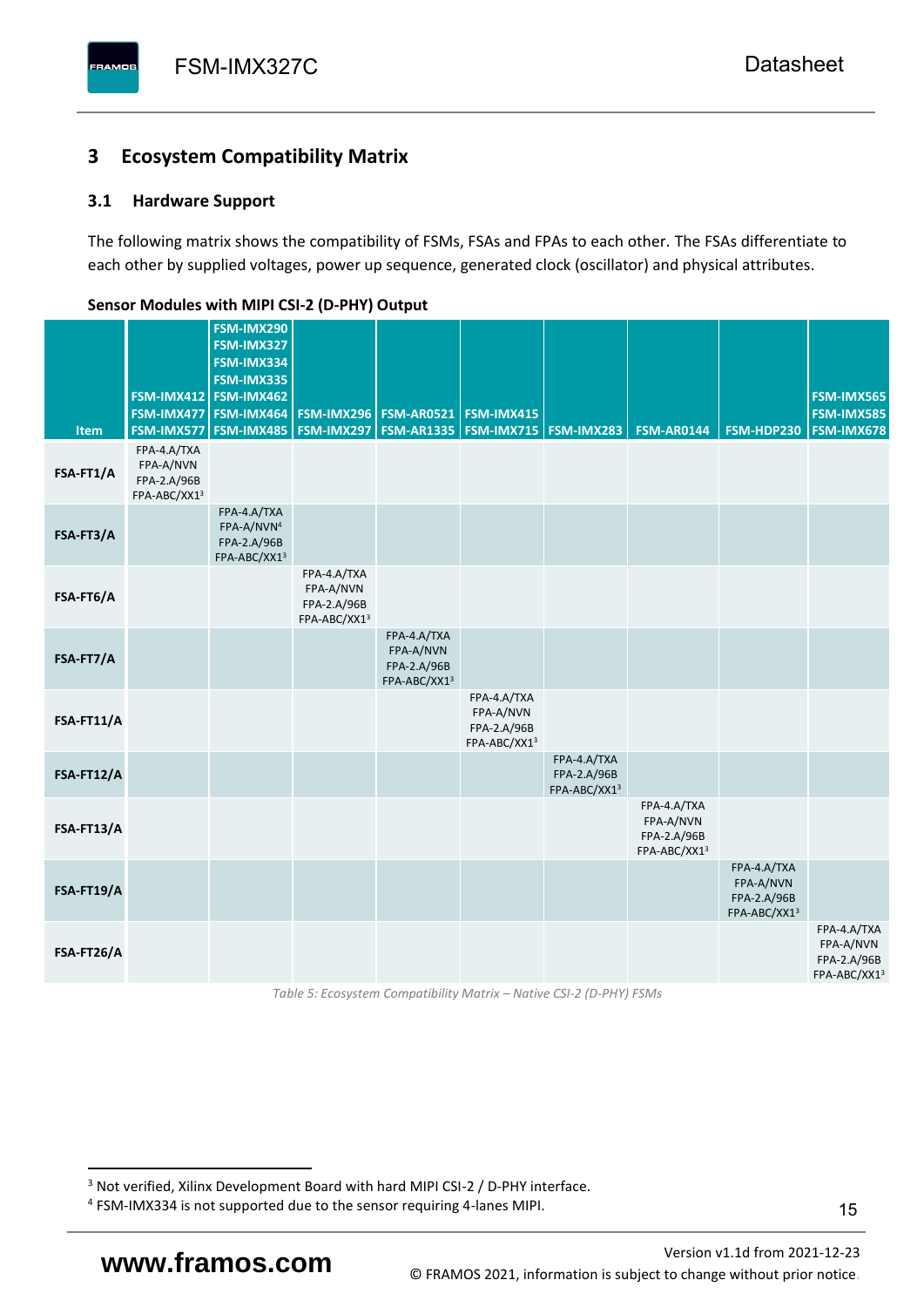## <span id="page-16-0"></span>**3 Ecosystem Compatibility Matrix**

## <span id="page-16-1"></span>**3.1 Hardware Support**

The following matrix shows the compatibility of FSMs, FSAs and FPAs to each other. The FSAs differentiate to each other by supplied voltages, power up sequence, generated clock (oscillator) and physical attributes.

| <b>Item</b> | FSM-IMX477<br>FSM-IMX577                                | FSM-IMX290<br>FSM-IMX327<br>FSM-IMX334<br>FSM-IMX335<br>FSM-IMX412 FSM-IMX462<br>FSM-IMX464<br><b>FSM-IMX485</b> | <b>FSM-IMX296</b><br>FSM-IMX297                         | <b>FSM-AR0521</b><br><b>FSM-AR1335</b>                  | FSM-IMX415<br><b>FSM-IMX715 FSM-IMX283</b>              |                                            | <b>FSM-AR0144</b>                                       | <b>FSM-HDP230</b>                                       | FSM-IMX565<br><b>FSM-IMX585</b><br>FSM-IMX678           |
|-------------|---------------------------------------------------------|------------------------------------------------------------------------------------------------------------------|---------------------------------------------------------|---------------------------------------------------------|---------------------------------------------------------|--------------------------------------------|---------------------------------------------------------|---------------------------------------------------------|---------------------------------------------------------|
| FSA-FT1/A   | FPA-4.A/TXA<br>FPA-A/NVN<br>FPA-2.A/96B<br>FPA-ABC/XX13 |                                                                                                                  |                                                         |                                                         |                                                         |                                            |                                                         |                                                         |                                                         |
| FSA-FT3/A   |                                                         | FPA-4.A/TXA<br>FPA-A/NVN <sup>4</sup><br>FPA-2.A/96B<br>FPA-ABC/XX13                                             |                                                         |                                                         |                                                         |                                            |                                                         |                                                         |                                                         |
| FSA-FT6/A   |                                                         |                                                                                                                  | FPA-4.A/TXA<br>FPA-A/NVN<br>FPA-2.A/96B<br>FPA-ABC/XX13 |                                                         |                                                         |                                            |                                                         |                                                         |                                                         |
| FSA-FT7/A   |                                                         |                                                                                                                  |                                                         | FPA-4.A/TXA<br>FPA-A/NVN<br>FPA-2.A/96B<br>FPA-ABC/XX13 |                                                         |                                            |                                                         |                                                         |                                                         |
| FSA-FT11/A  |                                                         |                                                                                                                  |                                                         |                                                         | FPA-4.A/TXA<br>FPA-A/NVN<br>FPA-2.A/96B<br>FPA-ABC/XX13 |                                            |                                                         |                                                         |                                                         |
| FSA-FT12/A  |                                                         |                                                                                                                  |                                                         |                                                         |                                                         | FPA-4.A/TXA<br>FPA-2.A/96B<br>FPA-ABC/XX13 |                                                         |                                                         |                                                         |
| FSA-FT13/A  |                                                         |                                                                                                                  |                                                         |                                                         |                                                         |                                            | FPA-4.A/TXA<br>FPA-A/NVN<br>FPA-2.A/96B<br>FPA-ABC/XX13 |                                                         |                                                         |
| FSA-FT19/A  |                                                         |                                                                                                                  |                                                         |                                                         |                                                         |                                            |                                                         | FPA-4.A/TXA<br>FPA-A/NVN<br>FPA-2.A/96B<br>FPA-ABC/XX13 |                                                         |
| FSA-FT26/A  |                                                         |                                                                                                                  |                                                         |                                                         |                                                         |                                            |                                                         |                                                         | FPA-4.A/TXA<br>FPA-A/NVN<br>FPA-2.A/96B<br>FPA-ABC/XX13 |

### <span id="page-16-2"></span>**Sensor Modules with MIPI CSI-2 (D-PHY) Output**

*Table 5: Ecosystem Compatibility Matrix – Native CSI-2 (D-PHY) FSMs*

<sup>&</sup>lt;sup>3</sup> Not verified, Xilinx Development Board with hard MIPI CSI-2 / D-PHY interface.

<sup>4</sup> FSM-IMX334 is not supported due to the sensor requiring 4-lanes MIPI.